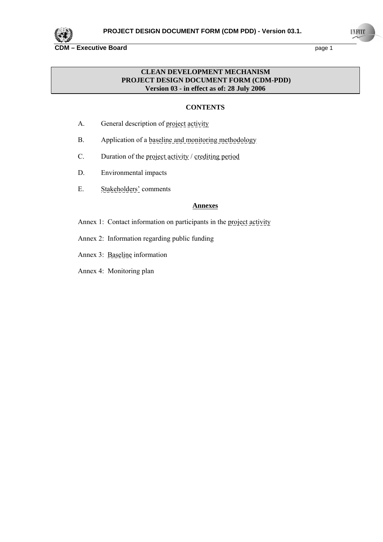

## **CLEAN DEVELOPMENT MECHANISM PROJECT DESIGN DOCUMENT FORM (CDM-PDD) Version 03 - in effect as of: 28 July 2006**

## **CONTENTS**

- A. General description of project activity
- B. Application of a baseline and monitoring methodology
- C. Duration of the project activity / crediting period
- D. Environmental impacts
- E. Stakeholders' comments

## **Annexes**

- Annex 1: Contact information on participants in the project activity
- Annex 2: Information regarding public funding
- Annex 3: Baseline information
- Annex 4: Monitoring plan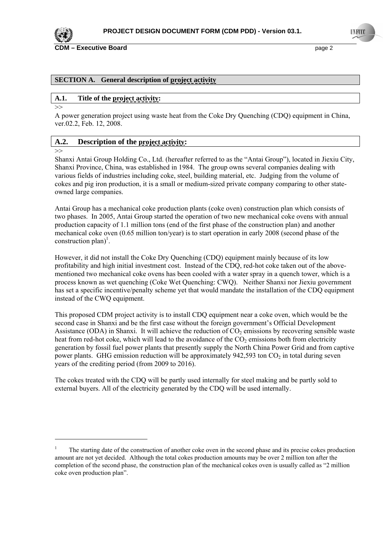

**CDM – Executive Board page 2 page 2** 

#### **SECTION A. General description of project activity**

#### **A.1. Title of the project activity:**

>>

A power generation project using waste heat from the Coke Dry Quenching (CDQ) equipment in China, ver.02.2, Feb. 12, 2008.

## **A.2. Description of the project activity:**

 $\gg$ 

 $\overline{a}$ 

Shanxi Antai Group Holding Co., Ltd. (hereafter referred to as the "Antai Group"), located in Jiexiu City, Shanxi Province, China, was established in 1984. The group owns several companies dealing with various fields of industries including coke, steel, building material, etc. Judging from the volume of cokes and pig iron production, it is a small or medium-sized private company comparing to other stateowned large companies.

Antai Group has a mechanical coke production plants (coke oven) construction plan which consists of two phases. In 2005, Antai Group started the operation of two new mechanical coke ovens with annual production capacity of 1.1 million tons (end of the first phase of the construction plan) and another mechanical coke oven (0.65 million ton/year) is to start operation in early 2008 (second phase of the construction plan)<sup>1</sup>.

However, it did not install the Coke Dry Quenching (CDQ) equipment mainly because of its low profitability and high initial investment cost. Instead of the CDQ, red-hot coke taken out of the abovementioned two mechanical coke ovens has been cooled with a water spray in a quench tower, which is a process known as wet quenching (Coke Wet Quenching: CWQ). Neither Shanxi nor Jiexiu government has set a specific incentive/penalty scheme yet that would mandate the installation of the CDQ equipment instead of the CWQ equipment.

This proposed CDM project activity is to install CDQ equipment near a coke oven, which would be the second case in Shanxi and be the first case without the foreign government's Official Development Assistance (ODA) in Shanxi. It will achieve the reduction of  $CO<sub>2</sub>$  emissions by recovering sensible waste heat from red-hot coke, which will lead to the avoidance of the  $CO<sub>2</sub>$  emissions both from electricity generation by fossil fuel power plants that presently supply the North China Power Grid and from captive power plants. GHG emission reduction will be approximately  $942.593$  ton CO<sub>2</sub> in total during seven years of the crediting period (from 2009 to 2016).

The cokes treated with the CDQ will be partly used internally for steel making and be partly sold to external buyers. All of the electricity generated by the CDQ will be used internally.

<sup>1</sup> The starting date of the construction of another coke oven in the second phase and its precise cokes production amount are not yet decided. Although the total cokes production amounts may be over 2 million ton after the completion of the second phase, the construction plan of the mechanical cokes oven is usually called as "2 million coke oven production plan".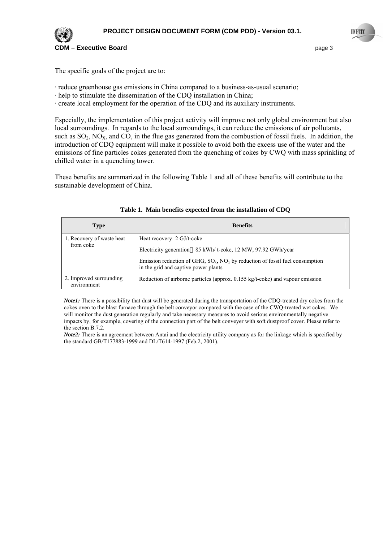

The specific goals of the project are to:

- · reduce greenhouse gas emissions in China compared to a business-as-usual scenario;
- · help to stimulate the dissemination of the CDQ installation in China;
- · create local employment for the operation of the CDQ and its auxiliary instruments.

Especially, the implementation of this project activity will improve not only global environment but also local surroundings. In regards to the local surroundings, it can reduce the emissions of air pollutants, such as  $SO_2$ ,  $NO_X$ , and  $CO$ , in the flue gas generated from the combustion of fossil fuels. In addition, the introduction of CDQ equipment will make it possible to avoid both the excess use of the water and the emissions of fine particles cokes generated from the quenching of cokes by CWQ with mass sprinkling of chilled water in a quenching tower.

These benefits are summarized in the following Table 1 and all of these benefits will contribute to the sustainable development of China.

| <b>Type</b>                            | <b>Benefits</b>                                                                                                            |
|----------------------------------------|----------------------------------------------------------------------------------------------------------------------------|
| 1. Recovery of waste heat              | Heat recovery: 2 GJ/t-coke                                                                                                 |
| from coke                              | Electricity generation 85 kWh/ t-coke, 12 MW, 97.92 GWh/year                                                               |
|                                        | Emission reduction of GHG, $SO_x$ , $NO_x$ by reduction of fossil fuel consumption<br>in the grid and captive power plants |
| 2. Improved surrounding<br>environment | Reduction of airborne particles (approx. 0.155 kg/t-coke) and vapour emission                                              |

| Table 1. Main benefits expected from the installation of CDQ |  |
|--------------------------------------------------------------|--|
|--------------------------------------------------------------|--|

*Note1*: There is a possibility that dust will be generated during the transportation of the CDQ-treated dry cokes from the cokes oven to the blast furnace through the belt conveyor compared with the case of the CWQ-treated wet cokes. We will monitor the dust generation regularly and take necessary measures to avoid serious environmentally negative impacts by, for example, covering of the connection part of the belt conveyer with soft dustproof cover. Please refer to the section B.7.2.

*Note2:* There is an agreement between Antai and the electricity utility company as for the linkage which is specified by the standard GB/T177883-1999 and DL/T614-1997 (Feb.2, 2001).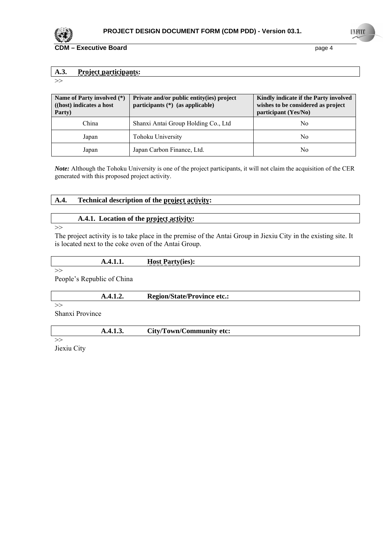

## **A.3. Project participants:**

 $>>$ 

| Name of Party involved (*)<br>((host) indicates a host<br>Party) | Private and/or public entity(ies) project<br>participants $(*)$ (as applicable) | Kindly indicate if the Party involved<br>wishes to be considered as project<br>participant (Yes/No) |
|------------------------------------------------------------------|---------------------------------------------------------------------------------|-----------------------------------------------------------------------------------------------------|
| China                                                            | Shanxi Antai Group Holding Co., Ltd                                             | No                                                                                                  |
| Japan                                                            | Tohoku University                                                               | No                                                                                                  |
| Japan                                                            | Japan Carbon Finance, Ltd.                                                      | No                                                                                                  |

*Note:* Although the Tohoku University is one of the project participants, it will not claim the acquisition of the CER generated with this proposed project activity.

## **A.4. Technical description of the project activity:**

## **A.4.1. Location of the project activity:**

>>

## The project activity is to take place in the premise of the Antai Group in Jiexiu City in the existing site. It is located next to the coke oven of the Antai Group.

| $\overline{\phantom{a}}$ | --<br>$. \sim$      |
|--------------------------|---------------------|
| .                        | $\frac{1080}{1000}$ |

>>

People's Republic of China

 **A.4.1.2. Region/State/Province etc.:**

>> Shanxi Province

|--|

>> Jiexiu City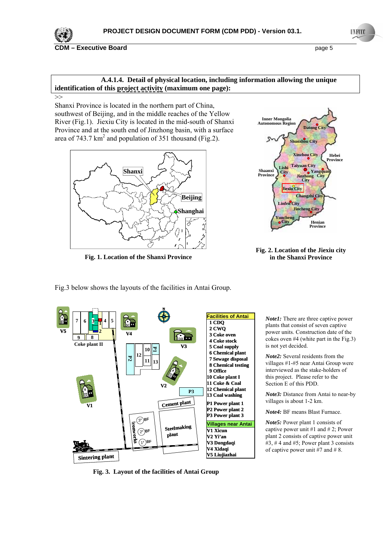

**CDM – Executive Board page 5 page 5** 

## **A.4.1.4. Detail of physical location, including information allowing the unique identification of this project activity (maximum one page):**

>>

Shanxi Province is located in the northern part of China, southwest of Beijing, and in the middle reaches of the Yellow River (Fig.1). Jiexiu City is located in the mid-south of Shanxi Province and at the south end of Jinzhong basin, with a surface area of 743.7  $km^2$  and population of 351 thousand (Fig.2).



**Fig. 1. Location of the Shanxi Province**

Fig.3 below shows the layouts of the facilities in Antai Group.







**Fig. 3. Layout of the facilities of Antai Group**

*Note1:* There are three captive power plants that consist of seven captive power units. Construction date of the cokes oven #4 (white part in the Fig.3) is not yet decided.

*Note2:* Several residents from the villages #1-#5 near Antai Group were interviewed as the stake-holders of this project. Please refer to the Section E of this PDD.

*Note3:* Distance from Antai to near-by villages is about 1-2 km.

*Note4:* BF means Blast Furnace.

*Note5:* Power plant 1 consists of captive power unit #1 and #2; Power plant 2 consists of captive power unit #3, # 4 and #5; Power plant 3 consists of captive power unit  $#7$  and  $#8$ .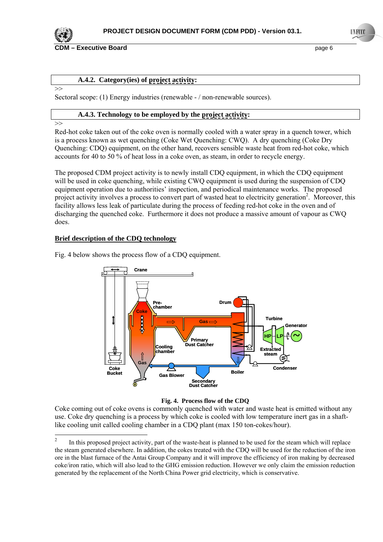

**CDM – Executive Board page 6 page 6 page 6 page 6 page 6 page 6 page 6 page 6 page 6 page 6 page 6 page 6 page 6 page 6 page 6 page 6 page 6 page 6 page 6 page 6 page 7 page 7**

## **A.4.2. Category(ies) of project activity:**

 $\rightarrow$ 

Sectoral scope: (1) Energy industries (renewable - / non-renewable sources).

#### **A.4.3. Technology to be employed by the project activity:**

>>

 $\overline{a}$ 

Red-hot coke taken out of the coke oven is normally cooled with a water spray in a quench tower, which is a process known as wet quenching (Coke Wet Quenching: CWQ). A dry quenching (Coke Dry Quenching: CDQ) equipment, on the other hand, recovers sensible waste heat from red-hot coke, which accounts for 40 to 50 % of heat loss in a coke oven, as steam, in order to recycle energy.

The proposed CDM project activity is to newly install CDQ equipment, in which the CDQ equipment will be used in coke quenching, while existing CWQ equipment is used during the suspension of CDQ equipment operation due to authorities' inspection, and periodical maintenance works. The proposed project activity involves a process to convert part of wasted heat to electricity generation<sup>2</sup>. Moreover, this facility allows less leak of particulate during the process of feeding red-hot coke in the oven and of discharging the quenched coke. Furthermore it does not produce a massive amount of vapour as CWQ does.

## **Brief description of the CDQ technology**

**Crane Drum Prechamber Coke** J **Gas**  $\Rightarrow$  **Turbine**  $\equiv$ **Generator ~ HP LP Primary Dust Catcher Cooling Extracted chamber steam Gas Condenser Coke Bucket Boiler Gas Blow Secondary Dust Catcher**

Fig. 4 below shows the process flow of a CDQ equipment.

#### **Fig. 4. Process flow of the CDQ**

Coke coming out of coke ovens is commonly quenched with water and waste heat is emitted without any use. Coke dry quenching is a process by which coke is cooled with low temperature inert gas in a shaftlike cooling unit called cooling chamber in a CDQ plant (max 150 ton-cokes/hour).

<sup>2</sup> In this proposed project activity, part of the waste-heat is planned to be used for the steam which will replace the steam generated elsewhere. In addition, the cokes treated with the CDQ will be used for the reduction of the iron ore in the blast furnace of the Antai Group Company and it will improve the efficiency of iron making by decreased coke/iron ratio, which will also lead to the GHG emission reduction. However we only claim the emission reduction generated by the replacement of the North China Power grid electricity, which is conservative.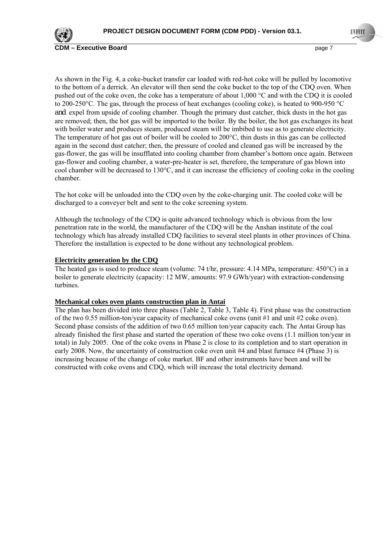

**CDM** – Executive Board **CDM** – Executive Board

As shown in the Fig. 4, a coke-bucket transfer car loaded with red-hot coke will be pulled by locomotive to the bottom of a derrick. An elevator will then send the coke bucket to the top of the CDQ oven. When pushed out of the coke oven, the coke has a temperature of about 1,000 °C and with the CDQ it is cooled to 200-250°C. The gas, through the process of heat exchanges (cooling coke), is heated to 900-950 °C and expel from upside of cooling chamber. Though the primary dust catcher, thick dusts in the hot gas are removed; then, the hot gas will be imported to the boiler. By the boiler, the hot gas exchanges its heat with boiler water and produces steam, produced steam will be imbibed to use as to generate electricity. The temperature of hot gas out of boiler will be cooled to 200°C, thin dusts in this gas can be collected again in the second dust catcher; then, the pressure of cooled and cleaned gas will be increased by the gas-flower, the gas will be insufflated into cooling chamber from chamber's bottom once again. Between gas-flower and cooling chamber, a water-pre-heater is set, therefore, the temperature of gas blown into cool chamber will be decreased to 130°C, and it can increase the efficiency of cooling coke in the cooling chamber.

The hot coke will be unloaded into the CDQ oven by the coke-charging unit. The cooled coke will be discharged to a conveyer belt and sent to the coke screening system.

Although the technology of the CDQ is quite advanced technology which is obvious from the low penetration rate in the world, the manufacturer of the CDQ will be the Anshan institute of the coal technology which has already installed CDQ facilities to several steel plants in other provinces of China. Therefore the installation is expected to be done without any technological problem.

#### **Electricity generation by the CDQ**

The heated gas is used to produce steam (volume: 74 t/hr, pressure: 4.14 MPa, temperature: 450°C) in a boiler to generate electricity (capacity: 12 MW, amounts: 97.9 GWh/year) with extraction-condensing turbines.

#### **Mechanical cokes oven plants construction plan in Antai**

The plan has been divided into three phases (Table 2, Table 3, Table 4). First phase was the construction of the two 0.55 million-ton/year capacity of mechanical coke ovens (unit #1 and unit #2 coke oven). Second phase consists of the addition of two 0.65 million ton/year capacity each. The Antai Group has already finished the first phase and started the operation of these two coke ovens (1.1 million ton/year in total) in July 2005. One of the coke ovens in Phase 2 is close to its completion and to start operation in early 2008. Now, the uncertainty of construction coke oven unit #4 and blast furnace #4 (Phase 3) is increasing because of the change of coke market. BF and other instruments have been and will be constructed with coke ovens and CDQ, which will increase the total electricity demand.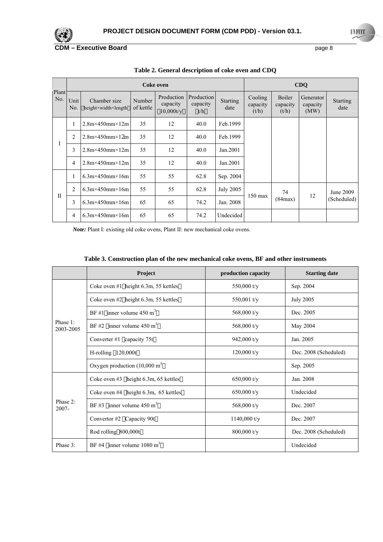

|              | <b>Coke oven</b> |                                     |                     |                                     |                               |                  |                              |                             | CDQ                           |                         |
|--------------|------------------|-------------------------------------|---------------------|-------------------------------------|-------------------------------|------------------|------------------------------|-----------------------------|-------------------------------|-------------------------|
| Plant<br>No. | Unit<br>No.      | Chamber size<br>height×width×length | Number<br>of kettle | Production<br>capacity<br>10,000t/v | Production<br>capacity<br>t/h | Starting<br>date | Cooling<br>capacity<br>(t/h) | Boiler<br>capacity<br>(t/h) | Generator<br>capacity<br>(MW) | <b>Starting</b><br>date |
|              | 1                | $2.8$ m $\times$ 450mm $\times$ 12m | 35                  | 12                                  | 40.0                          | Feb.1999         |                              |                             |                               |                         |
|              | $\overline{2}$   | $2.8m \times 450mm \times 12m$      | 35                  | 12                                  | 40.0                          | Feb.1999         |                              |                             |                               |                         |
| 1            | 3                | $2.8m \times 450mm \times 12m$      | 35                  | 12                                  | 40.0                          | Jan.2001         |                              |                             |                               |                         |
|              | 4                | $2.8m \times 450mm \times 12m$      | 35                  | 12                                  | 40.0                          | Jan.2001         |                              |                             |                               |                         |
|              | 1                | $6.3m \times 450mm \times 16m$      | 55                  | 55                                  | 62.8                          | Sep. 2004        |                              |                             |                               |                         |
| $\mathbf{I}$ | $\overline{2}$   | $6.3m \times 450mm \times 16m$      | 55                  | 55                                  | 62.8                          | <b>July 2005</b> | $150$ max                    | 74                          | 12                            | June 2009               |
|              | 3                | $6.3m \times 450mm \times 16m$      | 65                  | 65                                  | 74.2                          | Jan. 2008        |                              | (84max)                     |                               | (Scheduled)             |
|              | 4                | $6.3m \times 450mm \times 16m$      | 65                  | 65                                  | 74.2                          | Undecided        |                              |                             |                               |                         |

**Table 2. General description of coke oven and CDQ** 

*Note:* Plant I: existing old coke ovens, Plant II: new mechanical coke ovens.

| Table 3. Construction plan of the new mechanical coke ovens, BF and other instruments |  |  |  |
|---------------------------------------------------------------------------------------|--|--|--|
|---------------------------------------------------------------------------------------|--|--|--|

|                       | Project                                  | production capacity | <b>Starting date</b>  |
|-----------------------|------------------------------------------|---------------------|-----------------------|
|                       | Coke oven #1 height 6.3m, 55 kettles     | 550,000 t/y         | Sep. 2004             |
|                       | Coke oven $#2$ height 6.3m, 55 kettles   | 550,001 $t/v$       | <b>July 2005</b>      |
|                       | BF #1 inner volume $450 \text{ m}^3$     | 568,000 t/y         | Dec. 2005             |
| Phase 1:<br>2003-2005 | BF#2 inner volume $450 \text{ m}^3$      | 568,000 t/y         | May 2004              |
|                       | Converter #1 capacity $75t$              | 942,000 t/y         | Jan. 2005             |
|                       | $H$ -rolling $120,000t$                  | $120,000$ t/y       | Dec. 2008 (Scheduled) |
|                       | Oxygen production $(10,000 \text{ m}^3)$ |                     | Sep. 2005             |
|                       | Coke oven #3 height 6.3m, 65 kettles     | 650,000 $t/v$       | Jan. 2008             |
|                       | Coke oven $#4$ height 6.3m, 65 kettles   | 650,000 t/y         | Undecided             |
| Phase 2:<br>$2007 -$  | BF#3 inner volume $450 \text{ m}^3$      | 568,000 t/y         | Dec. 2007             |
|                       | Convertor #2 Capacity 90t                | $1140,000$ t/y      | Dec. 2007             |
|                       | Rod rolling 800,000t                     | $800,000$ t/y       | Dec. 2008 (Scheduled) |
| Phase 3:              | BF#4 inner volume $1080 \text{ m}^3$     |                     | Undecided             |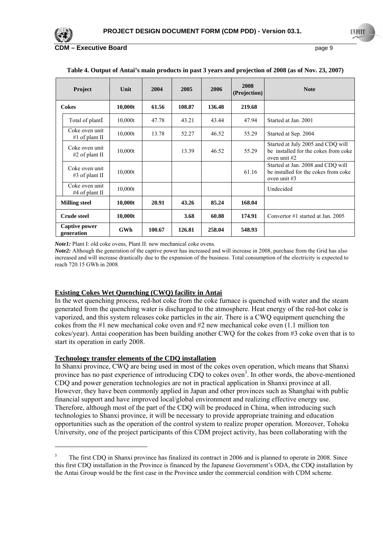

 $\overline{a}$ 

**Executive Board COM Executive Board** page 9

| <b>Project</b>              |                                    | Unit       | 2004   | 2005   | 2006   | 2008<br>(Projection) | <b>Note</b>                                                                                 |
|-----------------------------|------------------------------------|------------|--------|--------|--------|----------------------|---------------------------------------------------------------------------------------------|
| <b>Cokes</b>                |                                    | 10,000t    | 61.56  | 108.87 | 136.48 | 219.68               |                                                                                             |
|                             | Total of plant                     | 10,000t    | 47.78  | 43.21  | 43.44  | 47.94                | Started at Jan. 2001                                                                        |
|                             | Coke oven unit<br>$#1$ of plant II | 10,000t    | 13.78  | 52.27  | 46.52  | 55.29                | Started at Sep. 2004                                                                        |
|                             | Coke oven unit<br>#2 of plant II   | 10,000t    |        | 13.39  | 46.52  | 55.29                | Started at July 2005 and CDQ will<br>be installed for the cokes from coke<br>oven unit #2   |
|                             | Coke oven unit<br>$#3$ of plant II | 10,000t    |        |        |        | 61.16                | Started at Jan. 2008 and CDQ will<br>be installed for the cokes from coke<br>oven unit $#3$ |
|                             | Coke oven unit<br>#4 of plant $II$ | 10,000t    |        |        |        |                      | Undecided                                                                                   |
| <b>Milling steel</b>        |                                    | 10,000t    | 20.91  | 43.26  | 85.24  | 168.04               |                                                                                             |
|                             | <b>Crude steel</b>                 | 10,000t    |        | 3.68   | 60.88  | 174.91               | Convertor #1 started at Jan. 2005                                                           |
| Captive power<br>generation |                                    | <b>GWh</b> | 100.67 | 126.81 | 258.04 | 548.93               |                                                                                             |

#### **Table 4. Output of Antai's main products in past 3 years and projection of 2008 (as of Nov. 23, 2007)**

*Note1*: Plant I: old coke ovens, Plant II: new mechanical coke ovens.

*Note2*: Although the generation of the captive power has increased and will increase in 2008, purchase from the Grid has also increased and will increase drastically due to the expansion of the business. Total consumption of the electricity is expected to reach 720.15 GWh in 2008.

#### **Existing Cokes Wet Quenching (CWQ) facility in Antai**

In the wet quenching process, red-hot coke from the coke furnace is quenched with water and the steam generated from the quenching water is discharged to the atmosphere. Heat energy of the red-hot coke is vaporized, and this system releases coke particles in the air. There is a CWQ equipment quenching the cokes from the #1 new mechanical coke oven and #2 new mechanical coke oven (1.1 million ton cokes/year). Antai cooperation has been building another CWQ for the cokes from #3 coke oven that is to start its operation in early 2008.

### **Technology transfer elements of the CDQ installation**

In Shanxi province, CWQ are being used in most of the cokes oven operation, which means that Shanxi province has no past experience of introducing CDQ to cokes oven<sup>3</sup>. In other words, the above-mentioned CDQ and power generation technologies are not in practical application in Shanxi province at all. However, they have been commonly applied in Japan and other provinces such as Shanghai with public financial support and have improved local/global environment and realizing effective energy use. Therefore, although most of the part of the CDQ will be produced in China, when introducing such technologies to Shanxi province, it will be necessary to provide appropriate training and education opportunities such as the operation of the control system to realize proper operation. Moreover, Tohoku University, one of the project participants of this CDM project activity, has been collaborating with the

<sup>3</sup> The first CDQ in Shanxi province has finalized its contract in 2006 and is planned to operate in 2008. Since this first CDQ installation in the Province is financed by the Japanese Government's ODA, the CDQ installation by the Antai Group would be the first case in the Province under the commercial condition with CDM scheme.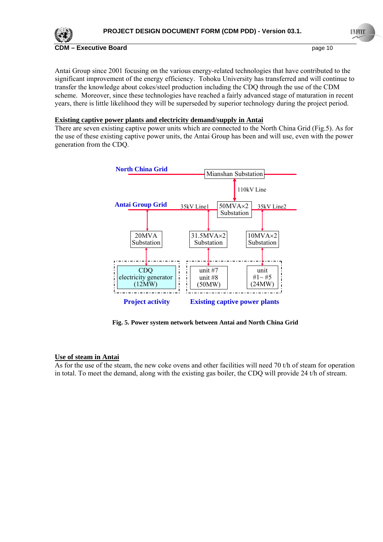

Antai Group since 2001 focusing on the various energy-related technologies that have contributed to the significant improvement of the energy efficiency. Tohoku University has transferred and will continue to transfer the knowledge about cokes/steel production including the CDQ through the use of the CDM scheme. Moreover, since these technologies have reached a fairly advanced stage of maturation in recent years, there is little likelihood they will be superseded by superior technology during the project period.

### **Existing captive power plants and electricity demand/supply in Antai**

There are seven existing captive power units which are connected to the North China Grid (Fig.5). As for the use of these existing captive power units, the Antai Group has been and will use, even with the power generation from the CDQ.



**Fig. 5. Power system network between Antai and North China Grid** 

## **Use of steam in Antai**

As for the use of the steam, the new coke ovens and other facilities will need 70 t/h of steam for operation in total. To meet the demand, along with the existing gas boiler, the CDQ will provide 24 t/h of stream.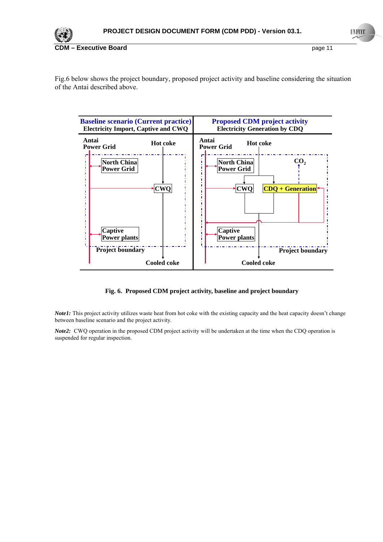

Fig.6 below shows the project boundary, proposed project activity and baseline considering the situation of the Antai described above.



#### **Fig. 6. Proposed CDM project activity, baseline and project boundary**

*Note1*: This project activity utilizes waste heat from hot coke with the existing capacity and the heat capacity doesn't change between baseline scenario and the project activity.

*Note2*: CWQ operation in the proposed CDM project activity will be undertaken at the time when the CDQ operation is suspended for regular inspection.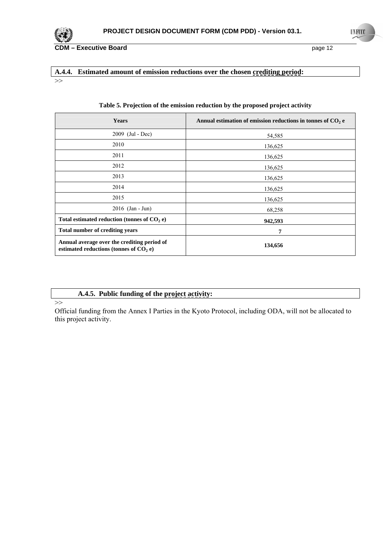

## **A.4.4. Estimated amount of emission reductions over the chosen crediting period:**

>>

| <b>Years</b>                                                                            | Annual estimation of emission reductions in tonnes of $CO2$ e |
|-----------------------------------------------------------------------------------------|---------------------------------------------------------------|
| 2009 (Jul - Dec)                                                                        | 54,585                                                        |
| 2010                                                                                    | 136,625                                                       |
| 2011                                                                                    | 136,625                                                       |
| 2012                                                                                    | 136,625                                                       |
| 2013                                                                                    | 136,625                                                       |
| 2014                                                                                    | 136,625                                                       |
| 2015                                                                                    | 136,625                                                       |
| 2016 (Jan - Jun)                                                                        | 68,258                                                        |
| Total estimated reduction (tonnes of $CO2$ e)                                           | 942,593                                                       |
| <b>Total number of crediting years</b>                                                  | 7                                                             |
| Annual average over the crediting period of<br>estimated reductions (tonnes of $CO2$ e) | 134,656                                                       |

#### **Table 5. Projection of the emission reduction by the proposed project activity**

## **A.4.5. Public funding of the project activity:**

 $\gt$ 

Official funding from the Annex I Parties in the Kyoto Protocol, including ODA, will not be allocated to this project activity.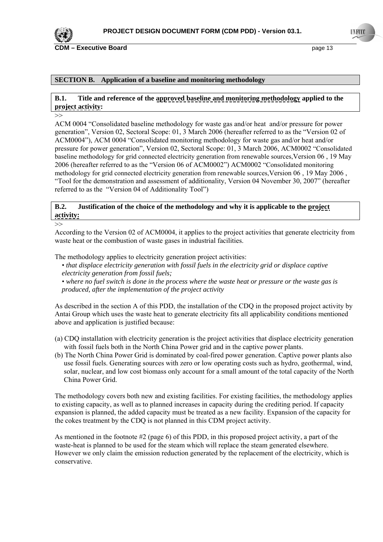

#### **SECTION B. Application of a baseline and monitoring methodology**

## **B.1. Title and reference of the approved baseline and monitoring methodology applied to the project activity:**

>>

ACM 0004 "Consolidated baseline methodology for waste gas and/or heat and/or pressure for power generation", Version 02, Sectoral Scope: 01, 3 March 2006 (hereafter referred to as the "Version 02 of ACM0004"), ACM 0004 "Consolidated monitoring methodology for waste gas and/or heat and/or pressure for power generation", Version 02, Sectoral Scope: 01, 3 March 2006, ACM0002 "Consolidated baseline methodology for grid connected electricity generation from renewable sources,Version 06 , 19 May 2006 (hereafter referred to as the "Version 06 of ACM0002") ACM0002 "Consolidated monitoring methodology for grid connected electricity generation from renewable sources,Version 06 , 19 May 2006 , "Tool for the demonstration and assessment of additionality, Version 04 November 30, 2007" (hereafter referred to as the "Version 04 of Additionality Tool")

## **B.2. Justification of the choice of the methodology and why it is applicable to the project activity:**

>> According to the Version 02 of ACM0004, it applies to the project activities that generate electricity from waste heat or the combustion of waste gases in industrial facilities.

The methodology applies to electricity generation project activities:

- *that displace electricity generation with fossil fuels in the electricity grid or displace captive electricity generation from fossil fuels;*
- *where no fuel switch is done in the process where the waste heat or pressure or the waste gas is produced, after the implementation of the project activity*

As described in the section A of this PDD, the installation of the CDQ in the proposed project activity by Antai Group which uses the waste heat to generate electricity fits all applicability conditions mentioned above and application is justified because:

- (a) CDQ installation with electricity generation is the project activities that displace electricity generation with fossil fuels both in the North China Power grid and in the captive power plants.
- (b) The North China Power Grid is dominated by coal-fired power generation. Captive power plants also use fossil fuels. Generating sources with zero or low operating costs such as hydro, geothermal, wind, solar, nuclear, and low cost biomass only account for a small amount of the total capacity of the North China Power Grid.

The methodology covers both new and existing facilities. For existing facilities, the methodology applies to existing capacity, as well as to planned increases in capacity during the crediting period. If capacity expansion is planned, the added capacity must be treated as a new facility. Expansion of the capacity for the cokes treatment by the CDQ is not planned in this CDM project activity.

As mentioned in the footnote  $#2$  (page 6) of this PDD, in this proposed project activity, a part of the waste-heat is planned to be used for the steam which will replace the steam generated elsewhere. However we only claim the emission reduction generated by the replacement of the electricity, which is conservative.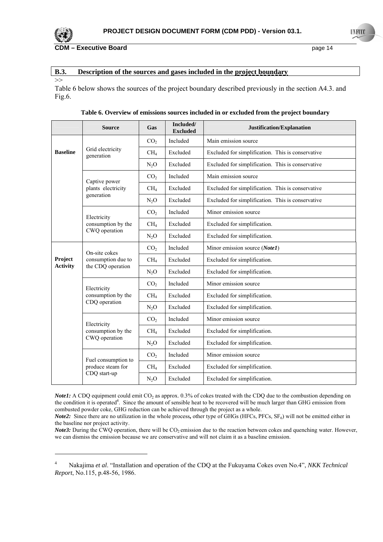

## **B.3. Description of the sources and gases included in the project boundary**

>>

Fig.6.

Table 6 below shows the sources of the project boundary described previously in the section A4.3. and

|                 | <b>Source</b>                       | Gas             | Included/<br><b>Excluded</b> | Justification/Explanation                         |
|-----------------|-------------------------------------|-----------------|------------------------------|---------------------------------------------------|
|                 |                                     | CO <sub>2</sub> | Included                     | Main emission source                              |
| <b>Baseline</b> | Grid electricity<br>generation      | CH <sub>4</sub> | Excluded                     | Excluded for simplification. This is conservative |
|                 |                                     | $N_2O$          | Excluded                     | Excluded for simplification. This is conservative |
|                 | Captive power                       | CO <sub>2</sub> | Included                     | Main emission source                              |
|                 | plants electricity                  | CH <sub>4</sub> | Excluded                     | Excluded for simplification. This is conservative |
|                 | generation                          | $N_2O$          | Excluded                     | Excluded for simplification. This is conservative |
|                 | Electricity                         | CO <sub>2</sub> | Included                     | Minor emission source                             |
|                 | consumption by the                  | CH <sub>4</sub> | Excluded                     | Excluded for simplification.                      |
|                 | CWQ operation                       | $N_2O$          | Excluded                     | Excluded for simplification.                      |
|                 | On-site cokes<br>consumption due to | CO <sub>2</sub> | Included                     | Minor emission source (Note1)                     |
| Project         |                                     | CH <sub>4</sub> | Excluded                     | Excluded for simplification.                      |
| <b>Activity</b> | the CDQ operation                   | $N_2O$          | Excluded                     | Excluded for simplification.                      |
|                 | Electricity                         | CO <sub>2</sub> | Included                     | Minor emission source                             |
|                 | consumption by the                  | CH <sub>4</sub> | Excluded                     | Excluded for simplification.                      |
|                 | CDQ operation                       | $N_2O$          | Excluded                     | Excluded for simplification.                      |
|                 | Electricity                         | CO <sub>2</sub> | Included                     | Minor emission source                             |
|                 | consumption by the                  | CH <sub>4</sub> | Excluded                     | Excluded for simplification.                      |
|                 | CWQ operation                       | $N_2O$          | Excluded                     | Excluded for simplification.                      |
|                 | Fuel consumption to                 | CO <sub>2</sub> | Included                     | Minor emission source                             |
|                 | produce steam for                   | CH <sub>4</sub> | Excluded                     | Excluded for simplification.                      |
|                 | CDQ start-up                        | $N_2O$          | Excluded                     | Excluded for simplification.                      |

**Table 6. Overview of emissions sources included in or excluded from the project boundary**

*Note1*: A CDQ equipment could emit CO<sub>2</sub> as approx. 0.3% of cokes treated with the CDQ due to the combustion depending on the condition it is operated<sup>4</sup>. Since the amount of sensible heat to be recovered will be much larger than GHG emission from combusted powder coke, GHG reduction can be achieved through the project as a whole.

*Note2*: Since there are no utilization in the whole process, other type of GHGs (HFCs,  $PFCs$ ,  $SF<sub>6</sub>$ ) will not be emitted either in the baseline nor project activity.

*Note3*: During the CWQ operation, there will be CO<sub>2</sub> emission due to the reaction between cokes and quenching water. However, we can dismiss the emission because we are conservative and will not claim it as a baseline emission.

<sup>4</sup> Nakajima *et al*. "Installation and operation of the CDQ at the Fukuyama Cokes oven No.4", *NKK Technical Report*, No.115, p.48-56, 1986.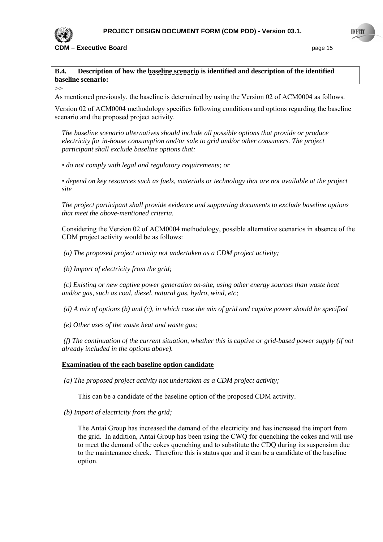

 $\rightarrow$ 

**CDM – Executive Board page 15** 

## **B.4. Description of how the baseline scenario is identified and description of the identified baseline scenario:**

As mentioned previously, the baseline is determined by using the Version 02 of ACM0004 as follows.

Version 02 of ACM0004 methodology specifies following conditions and options regarding the baseline scenario and the proposed project activity.

*The baseline scenario alternatives should include all possible options that provide or produce electricity for in-house consumption and/or sale to grid and/or other consumers. The project participant shall exclude baseline options that:* 

*• do not comply with legal and regulatory requirements; or* 

*• depend on key resources such as fuels, materials or technology that are not available at the project site* 

*The project participant shall provide evidence and supporting documents to exclude baseline options that meet the above-mentioned criteria.* 

Considering the Version 02 of ACM0004 methodology, possible alternative scenarios in absence of the CDM project activity would be as follows:

 *(a) The proposed project activity not undertaken as a CDM project activity;* 

 *(b) Import of electricity from the grid;* 

 *(c) Existing or new captive power generation on-site, using other energy sources than waste heat and/or gas, such as coal, diesel, natural gas, hydro, wind, etc;* 

 *(d) A mix of options (b) and (c), in which case the mix of grid and captive power should be specified* 

 *(e) Other uses of the waste heat and waste gas;* 

 *(f) The continuation of the current situation, whether this is captive or grid-based power supply (if not already included in the options above).* 

#### **Examination of the each baseline option candidate**

*(a) The proposed project activity not undertaken as a CDM project activity;* 

This can be a candidate of the baseline option of the proposed CDM activity.

*(b) Import of electricity from the grid;* 

The Antai Group has increased the demand of the electricity and has increased the import from the grid. In addition, Antai Group has been using the CWQ for quenching the cokes and will use to meet the demand of the cokes quenching and to substitute the CDQ during its suspension due to the maintenance check. Therefore this is status quo and it can be a candidate of the baseline option.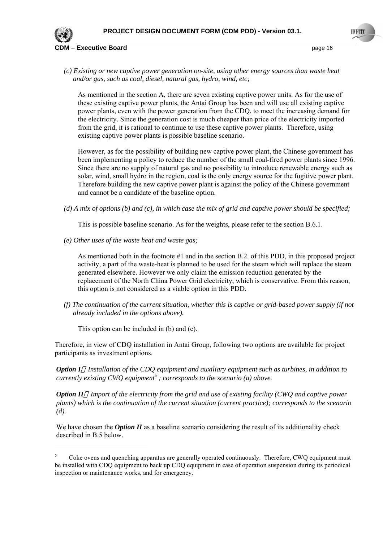

*(c) Existing or new captive power generation on-site, using other energy sources than waste heat and/or gas, such as coal, diesel, natural gas, hydro, wind, etc;* 

As mentioned in the section A, there are seven existing captive power units. As for the use of these existing captive power plants, the Antai Group has been and will use all existing captive power plants, even with the power generation from the CDQ, to meet the increasing demand for the electricity. Since the generation cost is much cheaper than price of the electricity imported from the grid, it is rational to continue to use these captive power plants. Therefore, using existing captive power plants is possible baseline scenario.

However, as for the possibility of building new captive power plant, the Chinese government has been implementing a policy to reduce the number of the small coal-fired power plants since 1996. Since there are no supply of natural gas and no possibility to introduce renewable energy such as solar, wind, small hydro in the region, coal is the only energy source for the fugitive power plant. Therefore building the new captive power plant is against the policy of the Chinese government and cannot be a candidate of the baseline option.

*(d) A mix of options (b) and (c), in which case the mix of grid and captive power should be specified;* 

This is possible baseline scenario. As for the weights, please refer to the section B.6.1.

*(e) Other uses of the waste heat and waste gas;* 

As mentioned both in the footnote #1 and in the section B.2. of this PDD, in this proposed project activity, a part of the waste-heat is planned to be used for the steam which will replace the steam generated elsewhere. However we only claim the emission reduction generated by the replacement of the North China Power Grid electricity, which is conservative. From this reason, this option is not considered as a viable option in this PDD.

*(f) The continuation of the current situation, whether this is captive or grid-based power supply (if not already included in the options above).* 

This option can be included in (b) and (c).

Therefore, in view of CDQ installation in Antai Group, following two options are available for project participants as investment options.

*Option I Installation of the CDQ equipment and auxiliary equipment such as turbines, in addition to currently existing CWQ equipment*<sup>5</sup>; corresponds to the scenario (a) above.

*Option II Import of the electricity from the grid and use of existing facility (CWQ and captive power plants) which is the continuation of the current situation (current practice); corresponds to the scenario (d).* 

We have chosen the *Option II* as a baseline scenario considering the result of its additionality check described in B.5 below.

<sup>5</sup> Coke ovens and quenching apparatus are generally operated continuously. Therefore, CWQ equipment must be installed with CDQ equipment to back up CDQ equipment in case of operation suspension during its periodical inspection or maintenance works, and for emergency.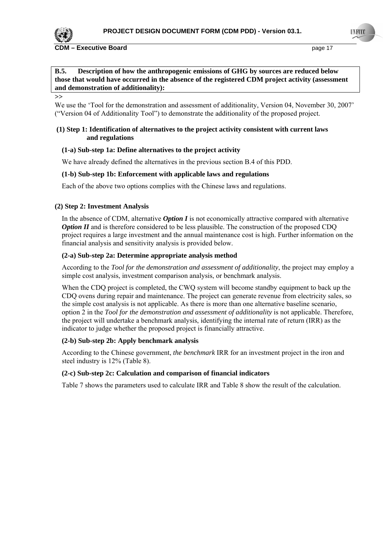

#### **CDM – Executive Board page 17 page 17 page 17 page 17**

**B.5. Description of how the anthropogenic emissions of GHG by sources are reduced below those that would have occurred in the absence of the registered CDM project activity (assessment and demonstration of additionality):** 

**>>**

We use the 'Tool for the demonstration and assessment of additionality, Version 04, November 30, 2007' ("Version 04 of Additionality Tool") to demonstrate the additionality of the proposed project.

### **(1) Step 1: Identification of alternatives to the project activity consistent with current laws and regulations**

#### **(1-a) Sub-step 1a: Define alternatives to the project activity**

We have already defined the alternatives in the previous section B.4 of this PDD.

#### **(1-b) Sub-step 1b: Enforcement with applicable laws and regulations**

Each of the above two options complies with the Chinese laws and regulations.

#### **(2) Step 2: Investment Analysis**

In the absence of CDM, alternative *Option I* is not economically attractive compared with alternative *Option II* and is therefore considered to be less plausible. The construction of the proposed CDQ project requires a large investment and the annual maintenance cost is high. Further information on the financial analysis and sensitivity analysis is provided below.

#### **(2-a) Sub-step 2a: Determine appropriate analysis method**

According to the *Tool for the demonstration and assessment of additionality*, the project may employ a simple cost analysis, investment comparison analysis, or benchmark analysis.

When the CDQ project is completed, the CWQ system will become standby equipment to back up the CDQ ovens during repair and maintenance. The project can generate revenue from electricity sales, so the simple cost analysis is not applicable. As there is more than one alternative baseline scenario, option 2 in the *Tool for the demonstration and assessment of additionality* is not applicable. Therefore, the project will undertake a benchmark analysis, identifying the internal rate of return (IRR) as the indicator to judge whether the proposed project is financially attractive.

#### **(2-b) Sub-step 2b: Apply benchmark analysis**

According to the Chinese government, *the benchmark* IRR for an investment project in the iron and steel industry is 12% (Table 8).

#### **(2-c) Sub-step 2c: Calculation and comparison of financial indicators**

Table 7 shows the parameters used to calculate IRR and Table 8 show the result of the calculation.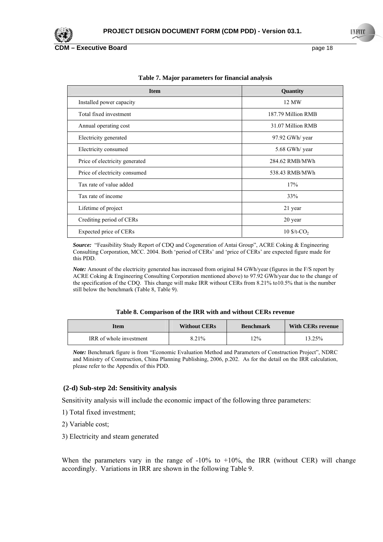

**Executive Board COM EXECUTE: COM EXECUTE: Page 18** 

| <b>Item</b>                    | <b>Quantity</b>           |
|--------------------------------|---------------------------|
| Installed power capacity       | 12 MW                     |
| Total fixed investment         | 187.79 Million RMB        |
| Annual operating cost          | 31.07 Million RMB         |
| Electricity generated          | 97.92 GWh/ year           |
| Electricity consumed           | 5.68 GWh/ year            |
| Price of electricity generated | 284.62 RMB/MWh            |
| Price of electricity consumed  | 538.43 RMB/MWh            |
| Tax rate of value added        | 17%                       |
| Tax rate of income             | 33%                       |
| Lifetime of project            | 21 year                   |
| Crediting period of CERs       | 20 year                   |
| Expected price of CERs         | $10$ \$/t-CO <sub>2</sub> |

**Table 7. Major parameters for financial analysis**

*Source:* "Feasibility Study Report of CDQ and Cogeneration of Antai Group", ACRE Coking & Engineering Consulting Corporation, MCC. 2004. Both 'period of CERs' and 'price of CERs' are expected figure made for this PDD.

*Note:* Amount of the electricity generated has increased from original 84 GWh/year (figures in the F/S report by ACRE Coking & Engineering Consulting Corporation mentioned above) to 97.92 GWh/year due to the change of the specification of the CDQ. This change will make IRR without CERs from 8.21% to10.5% that is the number still below the benchmark (Table 8, Table 9).

| Table 8. Comparison of the IRR with and without CERs revenue |  |  |  |  |
|--------------------------------------------------------------|--|--|--|--|
|--------------------------------------------------------------|--|--|--|--|

| Item                    | <b>Without CERs</b> | <b>Benchmark</b> | <b>With CERs revenue</b> |
|-------------------------|---------------------|------------------|--------------------------|
| IRR of whole investment | 8.21%               | 12%              | $13.25\%$                |

*Note:* Benchmark figure is from "Economic Evaluation Method and Parameters of Construction Project", NDRC and Ministry of Construction, China Planning Publishing, 2006, p.202. As for the detail on the IRR calculation, please refer to the Appendix of this PDD.

#### **(2-d) Sub-step 2d: Sensitivity analysis**

Sensitivity analysis will include the economic impact of the following three parameters:

- 1) Total fixed investment;
- 2) Variable cost;
- 3) Electricity and steam generated

When the parameters vary in the range of  $-10\%$  to  $+10\%$ , the IRR (without CER) will change accordingly. Variations in IRR are shown in the following Table 9.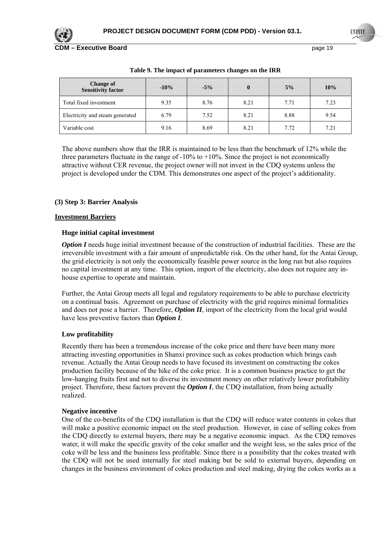

**Executive Board COM EXECUTE: COM EXECUTE: Page 19** 

| Change of<br><b>Sensitivity factor</b> | $-10\%$ | $-5\%$ | $\bf{0}$ | 5%   | 10%  |
|----------------------------------------|---------|--------|----------|------|------|
| Total fixed investment                 | 9.35    | 8.76   | 8.21     | 7.71 | 7.23 |
| Electricity and steam generated        | 6.79    | 7.52   | 8.21     | 8.88 | 9.54 |
| Variable cost                          | 9.16    | 8.69   | 8.21     | 7.72 | 7.21 |

**Table 9. The impact of parameters changes on the IRR** 

The above numbers show that the IRR is maintained to be less than the benchmark of 12% while the three parameters fluctuate in the range of  $-10\%$  to  $+10\%$ . Since the project is not economically attractive without CER revenue, the project owner will not invest in the CDQ systems unless the project is developed under the CDM. This demonstrates one aspect of the project's additionality.

## **(3) Step 3: Barrier Analysis**

## **Investment Barriers**

#### **Huge initial capital investment**

*Option I* needs huge initial investment because of the construction of industrial facilities. These are the irreversible investment with a fair amount of unpredictable risk. On the other hand, for the Antai Group, the grid electricity is not only the economically feasible power source in the long run but also requires no capital investment at any time. This option, import of the electricity, also does not require any inhouse expertise to operate and maintain.

Further, the Antai Group meets all legal and regulatory requirements to be able to purchase electricity on a continual basis. Agreement on purchase of electricity with the grid requires minimal formalities and does not pose a barrier. Therefore, *Option II*, import of the electricity from the local grid would have less preventive factors than *Option I*.

#### **Low profitability**

Recently there has been a tremendous increase of the coke price and there have been many more attracting investing opportunities in Shanxi province such as cokes production which brings cash revenue. Actually the Antai Group needs to have focused its investment on constructing the cokes production facility because of the hike of the coke price. It is a common business practice to get the low-hanging fruits first and not to diverse its investment money on other relatively lower profitability project. Therefore, these factors prevent the *Option I*, the CDQ installation, from being actually realized.

#### **Negative incentive**

One of the co-benefits of the CDQ installation is that the CDQ will reduce water contents in cokes that will make a positive economic impact on the steel production. However, in case of selling cokes from the CDQ directly to external buyers, there may be a negative economic impact. As the CDQ removes water, it will make the specific gravity of the coke smaller and the weight less, so the sales price of the coke will be less and the business less profitable. Since there is a possibility that the cokes treated with the CDQ will not be used internally for steel making but be sold to external buyers, depending on changes in the business environment of cokes production and steel making, drying the cokes works as a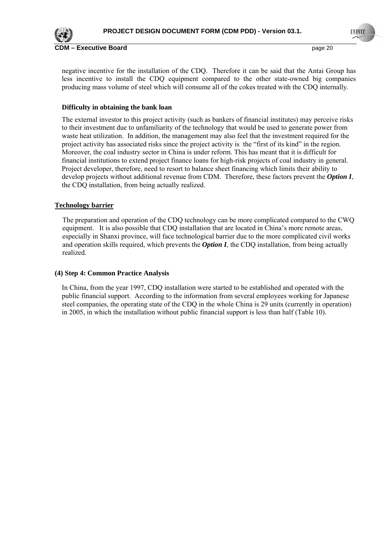

**CDM – Executive Board** page 20 **CDM – Executive Board** 

negative incentive for the installation of the CDQ. Therefore it can be said that the Antai Group has less incentive to install the CDQ equipment compared to the other state-owned big companies producing mass volume of steel which will consume all of the cokes treated with the CDQ internally.

## **Difficulty in obtaining the bank loan**

The external investor to this project activity (such as bankers of financial institutes) may perceive risks to their investment due to unfamiliarity of the technology that would be used to generate power from waste heat utilization. In addition, the management may also feel that the investment required for the project activity has associated risks since the project activity is the "first of its kind" in the region. Moreover, the coal industry sector in China is under reform. This has meant that it is difficult for financial institutions to extend project finance loans for high-risk projects of coal industry in general. Project developer, therefore, need to resort to balance sheet financing which limits their ability to develop projects without additional revenue from CDM. Therefore, these factors prevent the *Option I*, the CDQ installation, from being actually realized.

## **Technology barrier**

The preparation and operation of the CDQ technology can be more complicated compared to the CWQ equipment. It is also possible that CDQ installation that are located in China's more remote areas, especially in Shanxi province, will face technological barrier due to the more complicated civil works and operation skills required, which prevents the *Option I*, the CDQ installation, from being actually realized.

### **(4) Step 4: Common Practice Analysis**

In China, from the year 1997, CDQ installation were started to be established and operated with the public financial support. According to the information from several employees working for Japanese steel companies, the operating state of the CDQ in the whole China is 29 units (currently in operation) in 2005, in which the installation without public financial support is less than half (Table 10).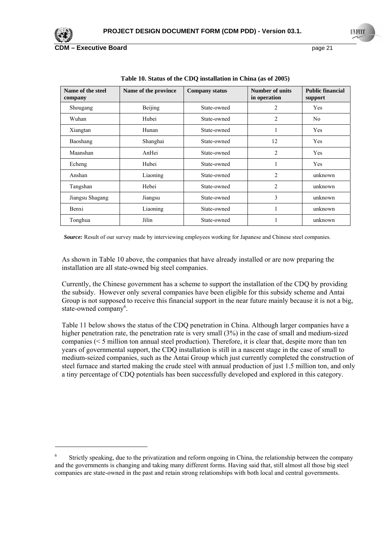

 $\overline{a}$ 

**Executive Board COM EXECUTE: COM EXECUTE: Page 21** 

| Name of the steel<br>company | Name of the province | <b>Company status</b> | Number of units<br>in operation | <b>Public financial</b><br>support |
|------------------------------|----------------------|-----------------------|---------------------------------|------------------------------------|
| Shougang                     | Beijing              | State-owned           | 2                               | Yes                                |
| Wuhan                        | Hubei                | State-owned           | 2                               | N <sub>0</sub>                     |
| Xiangtan                     | Hunan                | State-owned           |                                 | Yes                                |
| Baoshang                     | Shanghai             | State-owned           | 12                              | Yes                                |
| Maanshan                     | AnHei                | State-owned           | $\overline{2}$                  | <b>Yes</b>                         |
| Echeng                       | Hubei                | State-owned           |                                 | Yes                                |
| Anshan                       | Liaoning             | State-owned           | $\overline{2}$                  | unknown                            |
| Tangshan                     | Hebei                | State-owned           | $\overline{2}$                  | unknown                            |
| Jiangsu Shagang              | Jiangsu              | State-owned           | 3                               | unknown                            |
| Benxi                        | Liaoning             | State-owned           |                                 | unknown                            |
| Tonghua                      | Jilin                | State-owned           |                                 | unknown                            |

**Table 10. Status of the CDQ installation in China (as of 2005)** 

*Source:* Result of our survey made by interviewing employees working for Japanese and Chinese steel companies.

As shown in Table 10 above, the companies that have already installed or are now preparing the installation are all state-owned big steel companies.

Currently, the Chinese government has a scheme to support the installation of the CDQ by providing the subsidy. However only several companies have been eligible for this subsidy scheme and Antai Group is not supposed to receive this financial support in the near future mainly because it is not a big, state-owned company<sup>6</sup>.

Table 11 below shows the status of the CDQ penetration in China. Although larger companies have a higher penetration rate, the penetration rate is very small (3%) in the case of small and medium-sized companies (< 5 million ton annual steel production). Therefore, it is clear that, despite more than ten years of governmental support, the CDQ installation is still in a nascent stage in the case of small to medium-seized companies, such as the Antai Group which just currently completed the construction of steel furnace and started making the crude steel with annual production of just 1.5 million ton, and only a tiny percentage of CDQ potentials has been successfully developed and explored in this category.

<sup>6</sup> Strictly speaking, due to the privatization and reform ongoing in China, the relationship between the company and the governments is changing and taking many different forms. Having said that, still almost all those big steel companies are state-owned in the past and retain strong relationships with both local and central governments.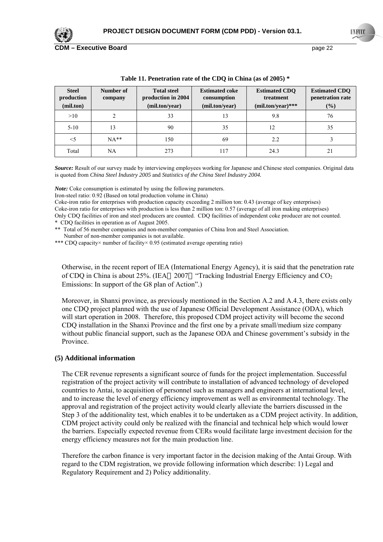

**Executive Board COM EXECUTE: Page 22** 

| <b>Steel</b><br>production<br>(mil.ton) | Number of<br>company | <b>Total steel</b><br>production in 2004<br>(mil.ton/year) | <b>Estimated coke</b><br>consumption<br>(mil.ton/year) | <b>Estimated CDO</b><br>treatment<br>$(mil.ton/year)$ *** | <b>Estimated CDO</b><br>penetration rate<br>$(\%)$ |
|-----------------------------------------|----------------------|------------------------------------------------------------|--------------------------------------------------------|-----------------------------------------------------------|----------------------------------------------------|
| >10                                     | ↑                    | 33                                                         | 13                                                     | 9.8                                                       | 76                                                 |
| $5-10$                                  | 13                   | 90                                                         | 35                                                     | 12                                                        | 35                                                 |
| $<$ 5                                   | $NA**$               | 150                                                        | 69                                                     | 2.2                                                       |                                                    |
| Total                                   | NA                   | 273                                                        | 117                                                    | 24.3                                                      | 21                                                 |

**Table 11. Penetration rate of the CDQ in China (as of 2005) \*** 

*Source:* Result of our survey made by interviewing employees working for Japanese and Chinese steel companies. Original data is quoted from *China Steel Industry 2005* and *Statistics of the China Steel Industry 2004.*

*Note:* Coke consumption is estimated by using the following parameters.

Iron-steel ratio: 0.92 (Based on total production volume in China)

Coke-iron ratio for enterprises with production capacity exceeding 2 million ton: 0.43 (average of key enterprises)

Coke-iron ratio for enterprises with production is less than 2 million ton: 0.57 (average of all iron making enterprises)

Only CDQ facilities of iron and steel producers are counted. CDQ facilities of independent coke producer are not counted. \* CDQ facilities in operation as of August 2005.

\*\* Total of 56 member companies and non-member companies of China Iron and Steel Association. Number of non-member companies is not available.

\*\*\* CDQ capacity× number of facility× 0.95 (estimated average operating ratio)

Otherwise, in the recent report of IEA (International Energy Agency), it is said that the penetration rate of CDQ in China is about 25%. (IEA  $2007$  "Tracking Industrial Energy Efficiency and CO<sub>2</sub> Emissions: In support of the G8 plan of Action".)

Moreover, in Shanxi province, as previously mentioned in the Section A.2 and A.4.3, there exists only one CDQ project planned with the use of Japanese Official Development Assistance (ODA), which will start operation in 2008. Therefore, this proposed CDM project activity will become the second CDQ installation in the Shanxi Province and the first one by a private small/medium size company without public financial support, such as the Japanese ODA and Chinese government's subsidy in the Province.

#### **(5) Additional information**

The CER revenue represents a significant source of funds for the project implementation. Successful registration of the project activity will contribute to installation of advanced technology of developed countries to Antai, to acquisition of personnel such as managers and engineers at international level, and to increase the level of energy efficiency improvement as well as environmental technology. The approval and registration of the project activity would clearly alleviate the barriers discussed in the Step 3 of the additionality test, which enables it to be undertaken as a CDM project activity. In addition, CDM project activity could only be realized with the financial and technical help which would lower the barriers. Especially expected revenue from CERs would facilitate large investment decision for the energy efficiency measures not for the main production line.

Therefore the carbon finance is very important factor in the decision making of the Antai Group. With regard to the CDM registration, we provide following information which describe: 1) Legal and Regulatory Requirement and 2) Policy additionality.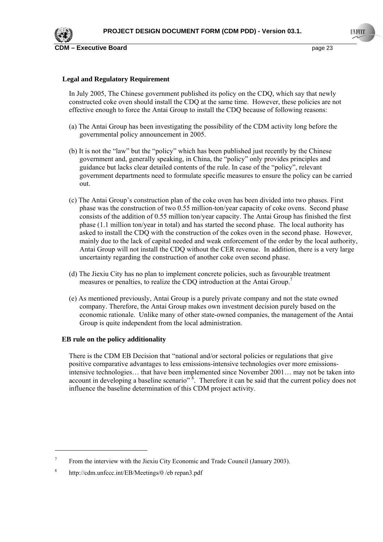## **Legal and Regulatory Requirement**

In July 2005, The Chinese government published its policy on the CDQ, which say that newly constructed coke oven should install the CDQ at the same time. However, these policies are not effective enough to force the Antai Group to install the CDQ because of following reasons:

- (a) The Antai Group has been investigating the possibility of the CDM activity long before the governmental policy announcement in 2005.
- (b) It is not the "law" but the "policy" which has been published just recently by the Chinese government and, generally speaking, in China, the "policy" only provides principles and guidance but lacks clear detailed contents of the rule. In case of the "policy", relevant government departments need to formulate specific measures to ensure the policy can be carried out.
- (c) The Antai Group's construction plan of the coke oven has been divided into two phases. First phase was the construction of two 0.55 million-ton/year capacity of coke ovens. Second phase consists of the addition of 0.55 million ton/year capacity. The Antai Group has finished the first phase (1.1 million ton/year in total) and has started the second phase. The local authority has asked to install the CDQ with the construction of the cokes oven in the second phase. However, mainly due to the lack of capital needed and weak enforcement of the order by the local authority, Antai Group will not install the CDQ without the CER revenue. In addition, there is a very large uncertainty regarding the construction of another coke oven second phase.
- (d) The Jiexiu City has no plan to implement concrete policies, such as favourable treatment measures or penalties, to realize the CDO introduction at the Antai Group.<sup>7</sup>
- (e) As mentioned previously, Antai Group is a purely private company and not the state owned company. Therefore, the Antai Group makes own investment decision purely based on the economic rationale. Unlike many of other state-owned companies, the management of the Antai Group is quite independent from the local administration.

#### **EB rule on the policy additionality**

There is the CDM EB Decision that "national and/or sectoral policies or regulations that give positive comparative advantages to less emissions-intensive technologies over more emissionsintensive technologies… that have been implemented since November 2001… may not be taken into account in developing a baseline scenario"<sup>8</sup>. Therefore it can be said that the current policy does not influence the baseline determination of this CDM project activity.

<sup>7</sup> From the interview with the Jiexiu City Economic and Trade Council (January 2003).

<sup>8</sup> http://cdm.unfccc.int/EB/Meetings/0 /eb repan3.pdf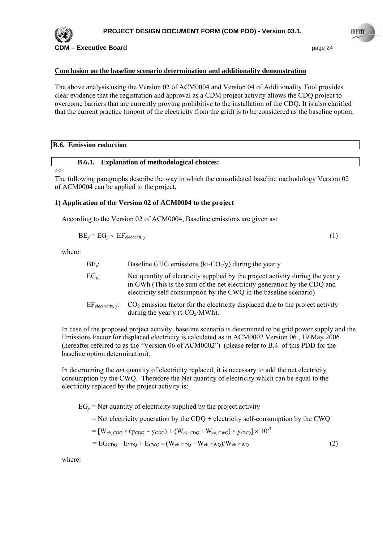

#### **Conclusion on the baseline scenario determination and additionality demonstration**

The above analysis using the Version 02 of ACM0004 and Version 04 of Additionality Tool provides clear evidence that the registration and approval as a CDM project activity allows the CDQ project to overcome barriers that are currently proving prohibitive to the installation of the CDQ. It is also clarified that the current practice (import of the electricity from the grid) is to be considered as the baseline option.

#### **B.6. Emission reduction**

#### **B.6.1. Explanation of methodological choices:**

#### >>

The following paragraphs describe the way in which the consolidated baseline methodology Version 02 of ACM0004 can be applied to the project.

#### **1) Application of the Version 02 of ACM0004 to the project**

According to the Version 02 of ACM0004, Baseline emissions are given as:

$$
BE_y = EG_y \times EF_{electricit, y}
$$
 (1)

where:

| $BE_v$ :                | Baseline GHG emissions (kt- $CO2/y$ ) during the year y                                                                                                                                                                         |
|-------------------------|---------------------------------------------------------------------------------------------------------------------------------------------------------------------------------------------------------------------------------|
| $EG_{\nu}$ :            | Net quantity of electricity supplied by the project activity during the year y<br>in GWh (This is the sum of the net electricity generation by the CDQ and<br>electricity self-consumption by the CWQ in the baseline scenario) |
| $EF_{electricity, v}$ : | $CO2$ emission factor for the electricity displaced due to the project activity<br>during the year y (t- $CO2/MWh$ ).                                                                                                           |

In case of the proposed project activity, baseline scenario is determined to be grid power supply and the Emissions Factor for displaced electricity is calculated as in ACM0002 Version 06 , 19 May 2006 (hereafter referred to as the "Version 06 of ACM0002") (please refer to B.4. of this PDD for the baseline option determination).

In determining the *net* quantity of electricity replaced, it is necessary to add the net electricity consumption by the CWQ. Therefore the Net quantity of electricity which can be equal to the electricity replaced by the project activity is:

 $EG<sub>v</sub>$  = Net quantity of electricity supplied by the project activity  $=$  Net electricity generation by the CDQ + electricity self-consumption by the CWQ  $=$   $[W_{ck, CDO} \times (p_{CDO} - y_{CDO}) + (W_{ck, CDO} + W_{ck, CWO}) \times y_{CWO}] \times 10^{-3}$  $= EG_{CDO} - E_{CDO} + E_{CWO} \times (W_{ck, CDO} + W_{ck, CWO})/W_{ck, CWO}$  (2)

where: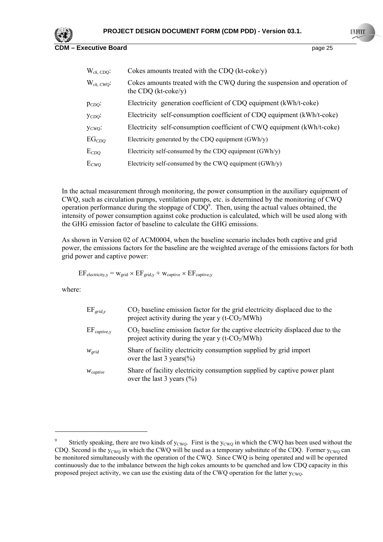

**COM – Executive Board COM 25** page 25

| $W_{ck, CDO}$ : | Cokes amounts treated with the CDQ ( $kt\text{-}coke/y$ )                                                 |
|-----------------|-----------------------------------------------------------------------------------------------------------|
| $W_{ck, CWO}$ : | Cokes amounts treated with the CWQ during the suspension and operation of<br>the CDQ $(kt\text{-}coke/y)$ |
| $p_{CDQ}$ :     | Electricity generation coefficient of CDQ equipment (kWh/t-coke)                                          |
| YCDQ            | Electricity self-consumption coefficient of CDQ equipment (kWh/t-coke)                                    |
| Yc wQ           | Electricity self-consumption coefficient of CWQ equipment (kWh/t-coke)                                    |
| $EG_{CDQ}$      | Electricity generated by the CDQ equipment $(GWh/y)$                                                      |
| $E_{CDQ}$       | Electricity self-consumed by the CDQ equipment $(GWh/y)$                                                  |
| $E_{CWQ}$       | Electricity self-consumed by the CWQ equipment (GWh/y)                                                    |

In the actual measurement through monitoring, the power consumption in the auxiliary equipment of CWQ, such as circulation pumps, ventilation pumps, etc. is determined by the monitoring of CWQ operation performance during the stoppage of  $CDQ<sup>9</sup>$ . Then, using the actual values obtained, the intensity of power consumption against coke production is calculated, which will be used along with the GHG emission factor of baseline to calculate the GHG emissions.

As shown in Version 02 of ACM0004, when the baseline scenario includes both captive and grid power, the emissions factors for the baseline are the weighted average of the emissions factors for both grid power and captive power:

 $EF_{\text{electricity,y}} = w_{\text{grid}} \times EF_{\text{grid,y}} + w_{\text{capture}} \times EF_{\text{capture,y}}$ 

where:

| $EF_{grid,v}$              | $CO2$ baseline emission factor for the grid electricity displaced due to the<br>project activity during the year y (t- $CO2/MWh$ )    |
|----------------------------|---------------------------------------------------------------------------------------------------------------------------------------|
| $EF_{\textit{capture}, V}$ | $CO2$ baseline emission factor for the captive electricity displaced due to the<br>project activity during the year y (t- $CO2/MWh$ ) |
| $W_{grid}$                 | Share of facility electricity consumption supplied by grid import<br>over the last 3 years(%)                                         |
| $W_{capitive}$             | Share of facility electricity consumption supplied by captive power plant<br>over the last 3 years $(\% )$                            |

<sup>9</sup> Strictly speaking, there are two kinds of  $y_{CWO}$ . First is the  $y_{CWO}$  in which the CWQ has been used without the CDQ. Second is the  $y_{CWO}$  in which the CWQ will be used as a temporary substitute of the CDQ. Former  $y_{CWO}$  can be monitored simultaneously with the operation of the CWQ. Since CWQ is being operated and will be operated continuously due to the imbalance between the high cokes amounts to be quenched and low CDQ capacity in this proposed project activity, we can use the existing data of the CWQ operation for the latter  $y_{\text{CWO}}$ .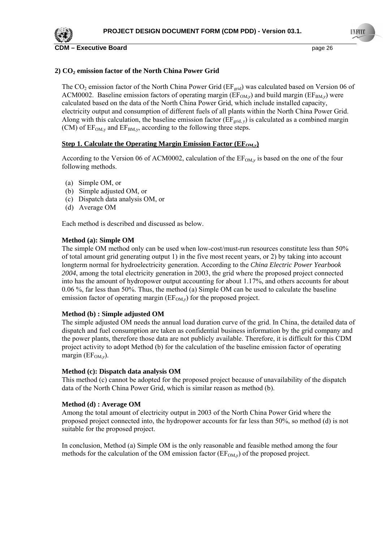

**CDM – Executive Board page 26 page 26 page 26 page 26 page 26** 

## **2) CO2 emission factor of the North China Power Grid**

The  $CO_2$  emission factor of the North China Power Grid ( $EF_{grid}$ ) was calculated based on Version 06 of ACM0002. Baseline emission factors of operating margin ( $EF_{OM,y}$ ) and build margin ( $EF_{BM,y}$ ) were calculated based on the data of the North China Power Grid, which include installed capacity, electricity output and consumption of different fuels of all plants within the North China Power Grid. Along with this calculation, the baseline emission factor  $(EF_{grid, y})$  is calculated as a combined margin (CM) of  $EF_{OM, v}$  and  $EF_{BM, v}$ , according to the following three steps.

#### **<u>Step 1. Calculate the Operating Margin Emission Factor (EF<sub>OM,***y***</sub>)</del>**</u>

According to the Version 06 of ACM0002, calculation of the  $EF_{OM,y}$  is based on the one of the four following methods.

- (a) Simple OM, or
- (b) Simple adjusted OM, or
- (c) Dispatch data analysis OM, or
- (d) Average OM

Each method is described and discussed as below.

#### **Method (a): Simple OM**

The simple OM method only can be used when low-cost/must-run resources constitute less than 50% of total amount grid generating output 1) in the five most recent years, or 2) by taking into account longterm normal for hydroelectricity generation. According to the *China Electric Power Yearbook 2004*, among the total electricity generation in 2003, the grid where the proposed project connected into has the amount of hydropower output accounting for about 1.17%, and others accounts for about 0.06 %, far less than 50%. Thus, the method (a) Simple OM can be used to calculate the baseline emission factor of operating margin  $(EF<sub>OM,y</sub>)$  for the proposed project.

#### **Method (b) : Simple adjusted OM**

The simple adjusted OM needs the annual load duration curve of the grid. In China, the detailed data of dispatch and fuel consumption are taken as confidential business information by the grid company and the power plants, therefore those data are not publicly available. Therefore, it is difficult for this CDM project activity to adopt Method (b) for the calculation of the baseline emission factor of operating margin ( $EF_{OM, y}$ ).

#### **Method (c): Dispatch data analysis OM**

This method (c) cannot be adopted for the proposed project because of unavailability of the dispatch data of the North China Power Grid, which is similar reason as method (b).

#### **Method (d) : Average OM**

Among the total amount of electricity output in 2003 of the North China Power Grid where the proposed project connected into, the hydropower accounts for far less than 50%, so method (d) is not suitable for the proposed project.

In conclusion, Method (a) Simple OM is the only reasonable and feasible method among the four methods for the calculation of the OM emission factor  $(EF_{OM,y})$  of the proposed project.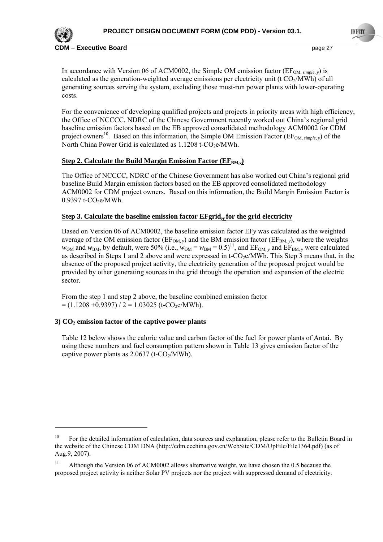

**Executive Board COM EXECUTE: Page 27 page 27 page 27** 

In accordance with Version 06 of ACM0002, the Simple OM emission factor ( $EF_{OM, simple, y}$ ) is calculated as the generation-weighted average emissions per electricity unit (t  $CO<sub>2</sub>/MWh$ ) of all generating sources serving the system, excluding those must-run power plants with lower-operating costs.

For the convenience of developing qualified projects and projects in priority areas with high efficiency, the Office of NCCCC, NDRC of the Chinese Government recently worked out China's regional grid baseline emission factors based on the EB approved consolidated methodology ACM0002 for CDM project owners<sup>10</sup>. Based on this information, the Simple OM Emission Factor ( $EF_{OM, simple, y}$ ) of the North China Power Grid is calculated as  $1.1208$  t-CO<sub>2</sub>e/MWh.

## **Step 2. Calculate the Build Margin Emission Factor (** $EF_{BM,y}$ **)**

The Office of NCCCC, NDRC of the Chinese Government has also worked out China's regional grid baseline Build Margin emission factors based on the EB approved consolidated methodology ACM0002 for CDM project owners. Based on this information, the Build Margin Emission Factor is  $0.9397$  t-CO<sub>2</sub>e/MWh.

#### **Step 3. Calculate the baseline emission factor EFgrid,***y* **for the grid electricity**

Based on Version 06 of ACM0002, the baseline emission factor EF*y* was calculated as the weighted average of the OM emission factor ( $EF_{OM}$ <sub>*y*</sub>) and the BM emission factor ( $EF_{BM}$ <sub>*y*</sub>), where the weights  $w_{OM}$  and  $w_{BM}$ , by default, were 50% (i.e.,  $w_{OM} = w_{BM} = 0.5)^{11}$ , and EF<sub>OM, y</sub> and EF<sub>BM, y</sub> were calculated as described in Steps 1 and 2 above and were expressed in t-CO<sub>2</sub>e/MWh. This Step 3 means that, in the absence of the proposed project activity, the electricity generation of the proposed project would be provided by other generating sources in the grid through the operation and expansion of the electric sector.

From the step 1 and step 2 above, the baseline combined emission factor  $= (1.1208 + 0.9397) / 2 = 1.03025$  (t-CO<sub>2</sub>e/MWh).

## **3) CO2 emission factor of the captive power plants**

Table 12 below shows the caloric value and carbon factor of the fuel for power plants of Antai. By using these numbers and fuel consumption pattern shown in Table 13 gives emission factor of the captive power plants as  $2.0637$  (t-CO<sub>2</sub>/MWh).

<sup>&</sup>lt;sup>10</sup> For the detailed information of calculation, data sources and explanation, please refer to the Bulletin Board in the website of the Chinese CDM DNA (http://cdm.ccchina.gov.cn/WebSite/CDM/UpFile/File1364.pdf) (as of Aug.9, 2007).

<sup>&</sup>lt;sup>11</sup> Although the Version 06 of ACM0002 allows alternative weight, we have chosen the 0.5 because the proposed project activity is neither Solar PV projects nor the project with suppressed demand of electricity.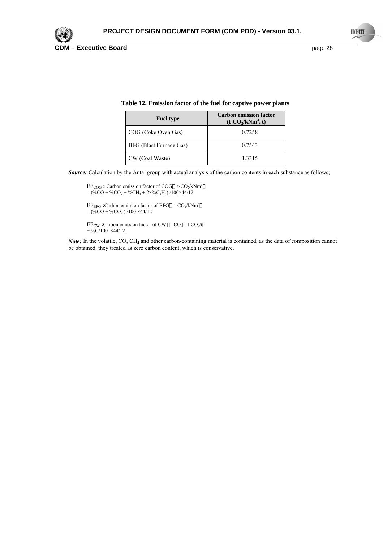

| <b>Fuel type</b>        | <b>Carbon emission factor</b><br>$(t-CO_2/kNm^3, t)$ |
|-------------------------|------------------------------------------------------|
| COG (Coke Oven Gas)     | 0.7258                                               |
| BFG (Blast Furnace Gas) | 0.7543                                               |
| CW (Coal Waste)         | 1.3315                                               |

#### **Table 12. Emission factor of the fuel for captive power plants**

*Source:* Calculation by the Antai group with actual analysis of the carbon contents in each substance as follows;

EF<sub>COG</sub>: Carbon emission factor of COG t-CO<sub>2</sub>/kNm<sup>3</sup>  $=$  (%CO + %CO<sub>2</sub> + %CH<sub>4</sub> + 2×%C<sub>2</sub>H<sub>4</sub>) /100×44/12

EF<sub>BFG</sub>: Carbon emission factor of BFG t-CO<sub>2</sub>/kNm<sup>3</sup>  $=$  (%CO + %CO<sub>2</sub>)/100 ×44/12

EF<sub>CW</sub>:Carbon emission factor of CW CO<sub>2</sub> t-CO<sub>2</sub>/t  $= \frac{6}{6}$ C/100 ×44/12

*Note:* In the volatile, CO, CH**4** and other carbon-containing material is contained, as the data of composition cannot be obtained, they treated as zero carbon content, which is conservative.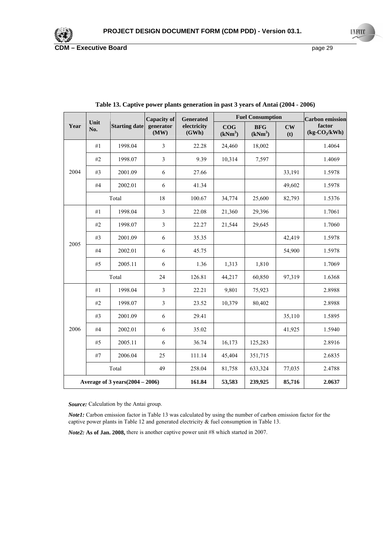

|                                    | Unit  | <b>Fuel Consumption</b><br><b>Capacity of</b><br><b>Generated</b> |                   | <b>Carbon</b> emission |                            |                                   |                      |                          |
|------------------------------------|-------|-------------------------------------------------------------------|-------------------|------------------------|----------------------------|-----------------------------------|----------------------|--------------------------|
| Year                               | No.   | <b>Starting date</b>                                              | generator<br>(MW) | electricity<br>(GWh)   | COG<br>(kNm <sup>3</sup> ) | <b>BFG</b><br>(kNm <sup>3</sup> ) | $\mathbf{CW}$<br>(t) | factor<br>$(kg-CO2/kWh)$ |
|                                    | #1    | 1998.04                                                           | $\mathfrak{Z}$    | 22.28                  | 24,460                     | 18,002                            |                      | 1.4064                   |
| 2004                               | #2    | 1998.07                                                           | $\mathfrak{Z}$    | 9.39                   | 10,314                     | 7,597                             |                      | 1.4069                   |
|                                    | #3    | 2001.09                                                           | 6                 | 27.66                  |                            |                                   | 33,191               | 1.5978                   |
|                                    | #4    | 2002.01                                                           | 6                 | 41.34                  |                            |                                   | 49,602               | 1.5978                   |
|                                    |       | Total                                                             | 18                | 100.67                 | 34,774                     | 25,600                            | 82,793               | 1.5376                   |
|                                    | #1    | 1998.04                                                           | $\mathfrak{Z}$    | 22.08                  | 21,360                     | 29,396                            |                      | 1.7061                   |
|                                    | #2    | 1998.07                                                           | $\mathfrak{Z}$    | 22.27                  | 21,544                     | 29,645                            |                      | 1.7060                   |
| 2005                               | #3    | 2001.09                                                           | 6                 | 35.35                  |                            |                                   | 42,419               | 1.5978                   |
|                                    | #4    | 2002.01                                                           | 6                 | 45.75                  |                            |                                   | 54,900               | 1.5978                   |
|                                    | #5    | 2005.11                                                           | 6                 | 1.36                   | 1,313                      | 1,810                             |                      | 1.7069                   |
|                                    | Total |                                                                   | 24                | 126.81                 | 44,217                     | 60,850                            | 97,319               | 1.6368                   |
|                                    | #1    | 1998.04                                                           | $\mathfrak{Z}$    | 22.21                  | 9,801                      | 75,923                            |                      | 2.8988                   |
|                                    | #2    | 1998.07                                                           | $\overline{3}$    | 23.52                  | 10,379                     | 80,402                            |                      | 2.8988                   |
|                                    | #3    | 2001.09                                                           | 6                 | 29.41                  |                            |                                   | 35,110               | 1.5895                   |
| 2006                               | #4    | 2002.01                                                           | 6                 | 35.02                  |                            |                                   | 41,925               | 1.5940                   |
|                                    | #5    | 2005.11                                                           | 6                 | 36.74                  | 16,173                     | 125,283                           |                      | 2.8916                   |
|                                    | $\#7$ | 2006.04                                                           | 25                | 111.14                 | 45,404                     | 351,715                           |                      | 2.6835                   |
|                                    |       | Total                                                             | 49                | 258.04                 | 81,758                     | 633,324                           | 77,035               | 2.4788                   |
| Average of 3 years $(2004 - 2006)$ |       |                                                                   | 161.84            | 53,583                 | 239,925                    | 85,716                            | 2.0637               |                          |

**Table 13. Captive power plants generation in past 3 years of Antai (2004 - 2006)** 

*Source:* Calculation by the Antai group.

*Note1:* Carbon emission factor in Table 13 was calculated by using the number of carbon emission factor for the captive power plants in Table 12 and generated electricity & fuel consumption in Table 13.

*Note2:* **As of Jan. 2008,** there is another captive power unit #8 which started in 2007.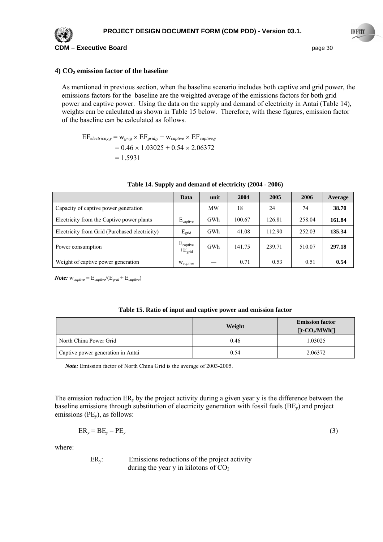

#### **4) CO2 emission factor of the baseline**

As mentioned in previous section, when the baseline scenario includes both captive and grid power, the emissions factors for the baseline are the weighted average of the emissions factors for both grid power and captive power. Using the data on the supply and demand of electricity in Antai (Table 14), weights can be calculated as shown in Table 15 below. Therefore, with these figures, emission factor of the baseline can be calculated as follows.

 $EF_{electricity, y} = w_{griq} \times EF_{grid, y} + w_{captive} \times EF_{cavity, y}$  $= 0.46 \times 1.03025 + 0.54 \times 2.06372$  $= 1.5931$ 

|                                               | Data                                       | unit      | 2004   | 2005   | 2006   | Average |
|-----------------------------------------------|--------------------------------------------|-----------|--------|--------|--------|---------|
| Capacity of captive power generation          |                                            | <b>MW</b> | 18     | 24     | 74     | 38.70   |
| Electricity from the Captive power plants     | $E_{\text{capture}}$                       | GWh       | 100.67 | 126.81 | 258.04 | 161.84  |
| Electricity from Grid (Purchased electricity) | $E_{grid}$                                 | GWh       | 41.08  | 112.90 | 252.03 | 135.34  |
| Power consumption                             | $E_{\text{capture}}$<br>$+E_{\text{grid}}$ | GWh       | 141.75 | 239.71 | 510.07 | 297.18  |
| Weight of captive power generation            | W <sub>captive</sub>                       |           | 0.71   | 0.53   | 0.51   | 0.54    |

#### **Table 14. Supply and demand of electricity (2004 - 2006)**

*Note:*  $W_{captive} = E_{captive} / (E_{grid} + E_{captive})$ 

|  |  |  | Table 15. Ratio of input and captive power and emission factor |
|--|--|--|----------------------------------------------------------------|
|--|--|--|----------------------------------------------------------------|

|                                   | Weight | <b>Emission factor</b><br>t-CO <sub>2</sub> /MWh |
|-----------------------------------|--------|--------------------------------------------------|
| North China Power Grid            | 0.46   | 1.03025                                          |
| Captive power generation in Antai | 0.54   | 2.06372                                          |

*Note:* Emission factor of North China Grid is the average of 2003-2005.

The emission reduction ER*y* by the project activity during a given year y is the difference between the baseline emissions through substitution of electricity generation with fossil fuels (BE*y*) and project emissions (PE*y*), as follows:

$$
ER_y = BE_y - PE_y \tag{3}
$$

where:

ER*y*: Emissions reductions of the project activity during the year y in kilotons of  $CO<sub>2</sub>$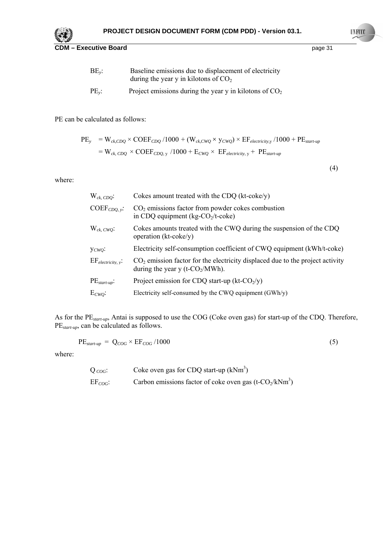

| $BE_{v}$ : | Baseline emissions due to displacement of electricity<br>during the year y in kilotons of $CO2$ |
|------------|-------------------------------------------------------------------------------------------------|
| $PE_{v}$ : | Project emissions during the year y in kilotons of $CO2$                                        |

PE can be calculated as follows:

PE*y* = W*ck,CDQ* × COEF*CDQ* /1000 + (W*ck,CWQ ×* y*CWQ*) × EF*electricity*,y /1000 + PE*start-up* = W*ck, CDQ* × COEF*CDQ*, y /1000 + E*CWQ* × EF*electricity*, y + PE*start-up*

(4)

where:

| $W_{ck, CDO}$ :                | Cokes amount treated with the CDQ (kt-coke/y)                                                                         |
|--------------------------------|-----------------------------------------------------------------------------------------------------------------------|
| $COEF_{CDO. v}$ :              | $CO2$ emissions factor from powder cokes combustion<br>in CDQ equipment ( $kg-CO2/t$ -coke)                           |
| $W_{ck, CWO}$ :                | Cokes amounts treated with the CWQ during the suspension of the CDQ<br>operation $(kt\text{-}coke/y)$                 |
| $Y_{CWO}$                      | Electricity self-consumption coefficient of CWQ equipment (kWh/t-coke)                                                |
| $EF_{\text{electricity, }v}$ . | $CO2$ emission factor for the electricity displaced due to the project activity<br>during the year y (t- $CO2/MWh$ ). |
| $PE_{start-up}$ :              | Project emission for CDQ start-up (kt- $CO2/y$ )                                                                      |
| $E_{CWO}$                      | Electricity self-consumed by the CWQ equipment $(GWh/y)$                                                              |

As for the PE*start-up*, Antai is supposed to use the COG (Coke oven gas) for start-up of the CDQ. Therefore, PE*start-up*, can be calculated as follows.

$$
PE_{start-up} = Q_{COG} \times EF_{COG} / 1000 \tag{5}
$$

where:

| Q $_{CoG}$ : | Coke oven gas for CDQ start-up $(kNm^3)$                    |
|--------------|-------------------------------------------------------------|
| $EF_{COG}$ : | Carbon emissions factor of coke oven gas (t- $CO_2/kNm^3$ ) |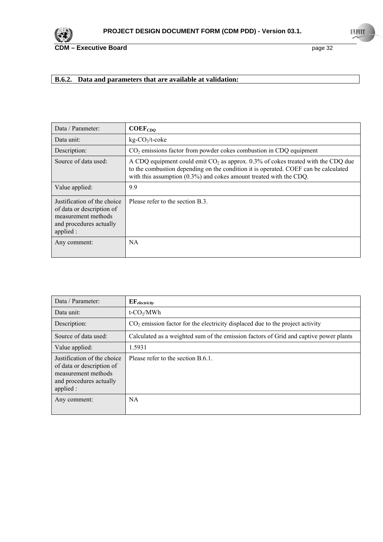

## **B.6.2. Data and parameters that are available at validation:**

| Data / Parameter:                                                                                                       | $COEF_{CDQ}$                                                                                                                                                                                                                                       |
|-------------------------------------------------------------------------------------------------------------------------|----------------------------------------------------------------------------------------------------------------------------------------------------------------------------------------------------------------------------------------------------|
| Data unit:                                                                                                              | $kg$ -CO <sub>2</sub> /t-coke                                                                                                                                                                                                                      |
| Description:                                                                                                            | $CO2$ emissions factor from powder cokes combustion in CDQ equipment                                                                                                                                                                               |
| Source of data used:                                                                                                    | A CDQ equipment could emit $CO2$ as approx. 0.3% of cokes treated with the CDQ due<br>to the combustion depending on the condition it is operated. COEF can be calculated<br>with this assumption $(0.3\%)$ and cokes amount treated with the CDQ. |
| Value applied:                                                                                                          | 9.9                                                                                                                                                                                                                                                |
| Justification of the choice<br>of data or description of<br>measurement methods<br>and procedures actually<br>applied : | Please refer to the section B.3.                                                                                                                                                                                                                   |
| Any comment:                                                                                                            | NA.                                                                                                                                                                                                                                                |

| Data / Parameter:                                                                                                       | $\mathbf{EF}_{electricity}$                                                           |
|-------------------------------------------------------------------------------------------------------------------------|---------------------------------------------------------------------------------------|
| Data unit:                                                                                                              | $t$ -CO <sub>2</sub> /MWh                                                             |
| Description:                                                                                                            | $CO2$ emission factor for the electricity displaced due to the project activity       |
| Source of data used:                                                                                                    | Calculated as a weighted sum of the emission factors of Grid and captive power plants |
| Value applied:                                                                                                          | 1.5931                                                                                |
| Justification of the choice<br>of data or description of<br>measurement methods<br>and procedures actually<br>applied : | Please refer to the section B.6.1.                                                    |
| Any comment:                                                                                                            | NA.                                                                                   |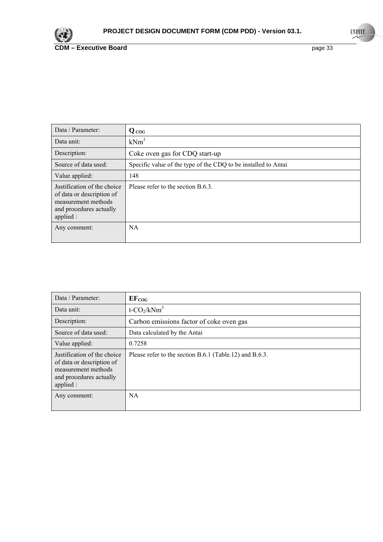

| Data / Parameter:                                                                                                       | $Q_{COG}$                                                      |
|-------------------------------------------------------------------------------------------------------------------------|----------------------------------------------------------------|
| Data unit:                                                                                                              | $kNm^3$                                                        |
| Description:                                                                                                            | Coke oven gas for CDQ start-up                                 |
| Source of data used:                                                                                                    | Specific value of the type of the CDQ to be installed to Antai |
| Value applied:                                                                                                          | 148                                                            |
| Justification of the choice<br>of data or description of<br>measurement methods<br>and procedures actually<br>applied : | Please refer to the section $B.6.3$ .                          |
| Any comment:                                                                                                            | NA                                                             |

| Data / Parameter:                                                                                                       | $EF_{COG}$                                              |
|-------------------------------------------------------------------------------------------------------------------------|---------------------------------------------------------|
| Data unit:                                                                                                              | $t$ -CO <sub>2</sub> /kNm <sup>3</sup>                  |
| Description:                                                                                                            | Carbon emissions factor of coke oven gas                |
| Source of data used:                                                                                                    | Data calculated by the Antai                            |
| Value applied:                                                                                                          | 0.7258                                                  |
| Justification of the choice<br>of data or description of<br>measurement methods<br>and procedures actually<br>applied : | Please refer to the section B.6.1 (Table.12) and B.6.3. |
| Any comment:                                                                                                            | NA.                                                     |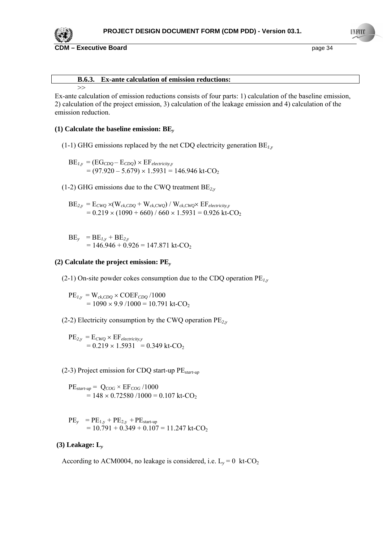

**CDM – Executive Board page 34 page 34** 

>>

#### **B.6.3. Ex-ante calculation of emission reductions:**

Ex-ante calculation of emission reductions consists of four parts: 1) calculation of the baseline emission, 2) calculation of the project emission, 3) calculation of the leakage emission and 4) calculation of the emission reduction.

#### **(1) Calculate the baseline emission: BE***<sup>y</sup>*

(1-1) GHG emissions replaced by the net CDQ electricity generation BE*1,y*

 $BE_{I,y} = (EG_{CDQ} - E_{CDQ}) \times EF_{electricity,y}$  $= (97.920 - 5.679) \times 1.5931 = 146.946 \text{ kt-CO}_2$ 

(1-2) GHG emissions due to the CWQ treatment BE*2,y*

 $BE_{2,y} = E_{CWQ} \times (W_{ck,CDQ} + W_{ck,CWQ}) / W_{ck,CWQ} \times EF_{electricity,y}$  $= 0.219 \times (1090 + 660) / 660 \times 1.5931 = 0.926$  kt-CO<sub>2</sub>

 $BE_v = BE_{I,v} + BE_{2,v}$  $= 146.946 + 0.926 = 147.871$  kt-CO<sub>2</sub>

#### **(2) Calculate the project emission: PE***<sup>y</sup>*

(2-1) On-site powder cokes consumption due to the CDQ operation PE*1,y*

 $PE_{I,y} = W_{ck,CDQ} \times COEF_{CDQ} / 1000$  $= 1090 \times 9.9 / 1000 = 10.791$  kt-CO<sub>2</sub>

(2-2) Electricity consumption by the CWQ operation PE*2,y*

 $PE_{2,y} = E_{CWO} \times EF_{electricity,y}$  $= 0.219 \times 1.5931 = 0.349$  kt-CO<sub>2</sub>

(2-3) Project emission for CDQ start-up PE*start-up*

 $PE_{start-up} = Q_{COG} \times EF_{COG} / 1000$  $= 148 \times 0.72580 / 1000 = 0.107$  kt-CO<sub>2</sub>

PE*y* = PE1,y + PE2,y + PEstart-up = 10.791 + 0.349 + 0.107 = 11.247 kt-CO2

#### **(3) Leakage: L***<sup>y</sup>*

According to ACM0004, no leakage is considered, i.e.  $L_v = 0$  kt-CO<sub>2</sub>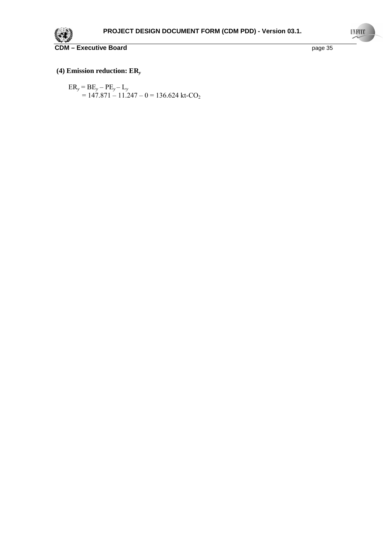

## **(4) Emission reduction: ER***<sup>y</sup>*

$$
ER_y = BE_y - PE_y - L_y
$$
  
= 147.871 - 11.247 - 0 = 136.624 kt-CO<sub>2</sub>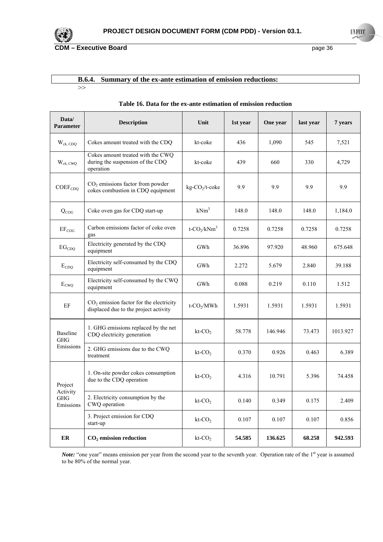

## **B.6.4. Summary of the ex-ante estimation of emission reductions:**

>>

| Data/<br>Parameter                  | <b>Description</b>                                                                 | Unit                                   | 1st year | One year | last year | 7 years  |
|-------------------------------------|------------------------------------------------------------------------------------|----------------------------------------|----------|----------|-----------|----------|
| $W_{ck, CDQ}$                       | Cokes amount treated with the CDQ                                                  | kt-coke                                | 436      | 1,090    | 545       | 7,521    |
| $W_{ck, CWQ}$                       | Cokes amount treated with the CWQ<br>during the suspension of the CDQ<br>operation | kt-coke                                | 439      | 660      | 330       | 4,729    |
| $COEF_{CDO}$                        | $CO2$ emissions factor from powder<br>cokes combustion in CDQ equipment            | kg-CO <sub>2</sub> /t-coke             | 9.9      | 9.9      | 9.9       | 9.9      |
| $Q_{COG}$                           | Coke oven gas for CDQ start-up                                                     | $kNm^3$                                | 148.0    | 148.0    | 148.0     | 1,184.0  |
| $EF_{COG}$                          | Carbon emissions factor of coke oven<br>gas                                        | $t$ -CO <sub>2</sub> /kNm <sup>3</sup> | 0.7258   | 0.7258   | 0.7258    | 0.7258   |
| $\mathrm{EG}_{CDQ}$                 | Electricity generated by the CDQ<br>equipment                                      | GWh                                    | 36.896   | 97.920   | 48.960    | 675.648  |
| $E_{CDQ}$                           | Electricity self-consumed by the CDQ<br>equipment                                  | GWh                                    | 2.272    | 5.679    | 2.840     | 39.188   |
| $E_{CWO}$                           | Electricity self-consumed by the CWQ<br>equipment                                  | GWh                                    | 0.088    | 0.219    | 0.110     | 1.512    |
| EF                                  | $CO2$ emission factor for the electricity<br>displaced due to the project activity | $t$ -CO <sub>2</sub> /MWh              | 1.5931   | 1.5931   | 1.5931    | 1.5931   |
| <b>Baseline</b><br><b>GHG</b>       | 1. GHG emissions replaced by the net<br>CDQ electricity generation                 | $kt$ - $CO2$                           | 58.778   | 146.946  | 73.473    | 1013.927 |
| Emissions                           | 2. GHG emissions due to the CWQ<br>treatment                                       | $kt$ - $CO2$                           | 0.370    | 0.926    | 0.463     | 6.389    |
| Project                             | 1. On-site powder cokes consumption<br>due to the CDQ operation                    | $kt$ - $CO2$                           | 4.316    | 10.791   | 5.396     | 74.458   |
| Activity<br><b>GHG</b><br>Emissions | 2. Electricity consumption by the<br>CWQ operation                                 | $kt$ - $CO2$                           | 0.140    | 0.349    | 0.175     | 2.409    |
|                                     | 3. Project emission for CDQ<br>start-up                                            | $kt$ - $CO2$                           | 0.107    | 0.107    | 0.107     | 0.856    |
| ER                                  | $CO2$ emission reduction                                                           | $kt$ - $CO2$                           | 54.585   | 136.625  | 68.258    | 942.593  |

#### **Table 16. Data for the ex-ante estimation of emission reduction**

*Note:* "one year" means emission per year from the second year to the seventh year. Operation rate of the 1<sup>st</sup> year is assumed to be 80% of the normal year.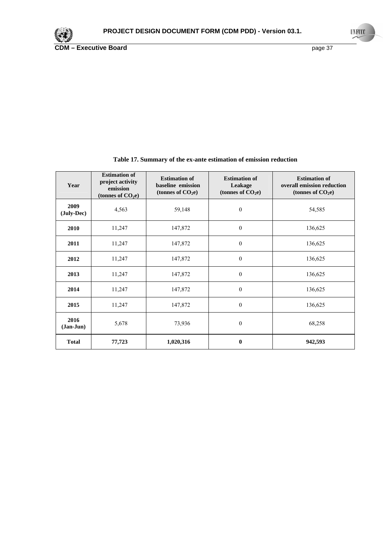

| Year                | <b>Estimation of</b><br>project activity<br>emission<br>(tonnes of $CO2e$ ) | <b>Estimation of</b><br>baseline emission<br>(tonnes of $CO2e$ ) | <b>Estimation of</b><br>Leakage<br>(tonnes of $CO2e$ ) | <b>Estimation of</b><br>overall emission reduction<br>(tonnes of $CO2e$ ) |
|---------------------|-----------------------------------------------------------------------------|------------------------------------------------------------------|--------------------------------------------------------|---------------------------------------------------------------------------|
| 2009<br>(July-Dec)  | 4,563                                                                       | 59,148                                                           | $\boldsymbol{0}$                                       | 54,585                                                                    |
| 2010                | 11,247                                                                      | 147,872                                                          | $\boldsymbol{0}$                                       | 136,625                                                                   |
| 2011                | 11,247                                                                      | 147,872                                                          | $\boldsymbol{0}$                                       | 136,625                                                                   |
| 2012                | 11,247                                                                      | 147,872                                                          | $\mathbf{0}$                                           | 136,625                                                                   |
| 2013                | 11,247                                                                      | 147,872                                                          | $\mathbf{0}$                                           | 136,625                                                                   |
| 2014                | 11,247                                                                      | 147,872                                                          | $\mathbf{0}$                                           | 136,625                                                                   |
| 2015                | 11,247                                                                      | 147,872                                                          | $\mathbf{0}$                                           | 136,625                                                                   |
| 2016<br>$(Jan-Jun)$ | 5,678                                                                       | 73,936                                                           | $\boldsymbol{0}$                                       | 68,258                                                                    |
| <b>Total</b>        | 77,723                                                                      | 1,020,316                                                        | $\bf{0}$                                               | 942,593                                                                   |

## **Table 17. Summary of the ex-ante estimation of emission reduction**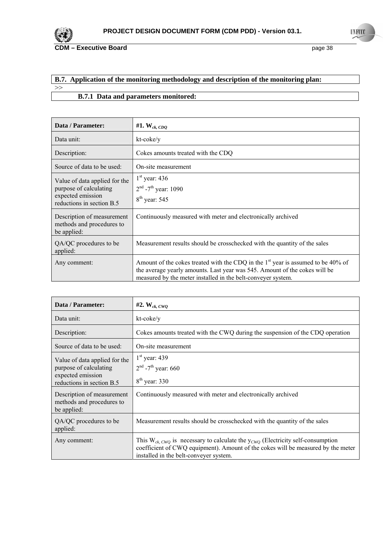

## **B.7. Application of the monitoring methodology and description of the monitoring plan:**   $>>$

## **B.7.1 Data and parameters monitored:**

| Data / Parameter:                                                                                         | #1. $W_{ck,CDQ}$                                                                                                                                                                                                                           |
|-----------------------------------------------------------------------------------------------------------|--------------------------------------------------------------------------------------------------------------------------------------------------------------------------------------------------------------------------------------------|
| Data unit:                                                                                                | kt-coke/y                                                                                                                                                                                                                                  |
| Description:                                                                                              | Cokes amounts treated with the CDQ                                                                                                                                                                                                         |
| Source of data to be used:                                                                                | On-site measurement                                                                                                                                                                                                                        |
| Value of data applied for the<br>purpose of calculating<br>expected emission<br>reductions in section B.5 | $1st$ year: 436<br>$2nd$ -7 <sup>th</sup> year: 1090<br>$8th$ year: 545                                                                                                                                                                    |
| Description of measurement<br>methods and procedures to<br>be applied:                                    | Continuously measured with meter and electronically archived                                                                                                                                                                               |
| QA/QC procedures to be<br>applied:                                                                        | Measurement results should be crosschecked with the quantity of the sales                                                                                                                                                                  |
| Any comment:                                                                                              | Amount of the cokes treated with the CDQ in the 1 <sup>st</sup> year is assumed to be 40% of<br>the average yearly amounts. Last year was 545. Amount of the cokes will be<br>measured by the meter installed in the belt-conveyer system. |

| Data / Parameter:                                                                                         | $#2$ . W <sub>ck, CWO</sub>                                                                                                                                                                                           |
|-----------------------------------------------------------------------------------------------------------|-----------------------------------------------------------------------------------------------------------------------------------------------------------------------------------------------------------------------|
| Data unit:                                                                                                | kt-coke/y                                                                                                                                                                                                             |
| Description:                                                                                              | Cokes amounts treated with the CWQ during the suspension of the CDQ operation                                                                                                                                         |
| Source of data to be used:                                                                                | On-site measurement                                                                                                                                                                                                   |
| Value of data applied for the<br>purpose of calculating<br>expected emission<br>reductions in section B.5 | $1st$ year: 439<br>$2^{nd}$ -7 <sup>th</sup> year: 660<br>$8th$ year: 330                                                                                                                                             |
| Description of measurement<br>methods and procedures to<br>be applied:                                    | Continuously measured with meter and electronically archived                                                                                                                                                          |
| QA/QC procedures to be<br>applied:                                                                        | Measurement results should be crosschecked with the quantity of the sales                                                                                                                                             |
| Any comment:                                                                                              | This $W_{ck,CWO}$ is necessary to calculate the $y_{CWO}$ (Electricity self-consumption<br>coefficient of CWQ equipment). Amount of the cokes will be measured by the meter<br>installed in the belt-conveyer system. |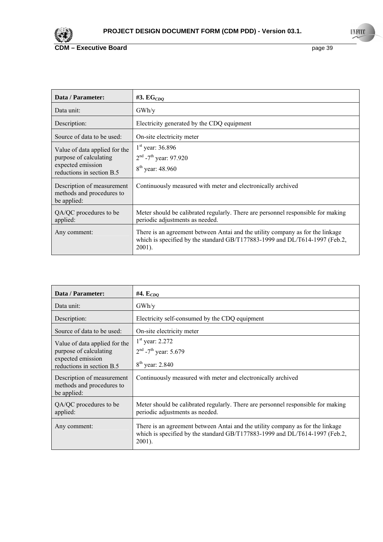

| Data / Parameter:                                                                                         | #3. $EG_{CDO}$                                                                                                                                                             |
|-----------------------------------------------------------------------------------------------------------|----------------------------------------------------------------------------------------------------------------------------------------------------------------------------|
| Data unit:                                                                                                | GWh/v                                                                                                                                                                      |
| Description:                                                                                              | Electricity generated by the CDQ equipment                                                                                                                                 |
| Source of data to be used:                                                                                | On-site electricity meter                                                                                                                                                  |
| Value of data applied for the<br>purpose of calculating<br>expected emission<br>reductions in section B.5 | $1st$ year: 36.896<br>$2nd$ -7 <sup>th</sup> year: 97.920<br>$8^{th}$ year: 48.960                                                                                         |
| Description of measurement<br>methods and procedures to<br>be applied:                                    | Continuously measured with meter and electronically archived                                                                                                               |
| QA/QC procedures to be<br>applied:                                                                        | Meter should be calibrated regularly. There are personnel responsible for making<br>periodic adjustments as needed.                                                        |
| Any comment:                                                                                              | There is an agreement between Antai and the utility company as for the linkage<br>which is specified by the standard GB/T177883-1999 and DL/T614-1997 (Feb.2,<br>$2001$ ). |

| Data / Parameter:                                                                                         | #4. $E_{CDQ}$                                                                                                                                                              |
|-----------------------------------------------------------------------------------------------------------|----------------------------------------------------------------------------------------------------------------------------------------------------------------------------|
| Data unit:                                                                                                | GWh/y                                                                                                                                                                      |
| Description:                                                                                              | Electricity self-consumed by the CDQ equipment                                                                                                                             |
| Source of data to be used:                                                                                | On-site electricity meter                                                                                                                                                  |
| Value of data applied for the<br>purpose of calculating<br>expected emission<br>reductions in section B.5 | $1st$ year: 2.272<br>$2nd$ -7 <sup>th</sup> year: 5.679<br>$8^{th}$ year: 2.840                                                                                            |
| Description of measurement<br>methods and procedures to<br>be applied:                                    | Continuously measured with meter and electronically archived                                                                                                               |
| QA/QC procedures to be<br>applied:                                                                        | Meter should be calibrated regularly. There are personnel responsible for making<br>periodic adjustments as needed.                                                        |
| Any comment:                                                                                              | There is an agreement between Antai and the utility company as for the linkage<br>which is specified by the standard GB/T177883-1999 and DL/T614-1997 (Feb.2,<br>$2001$ ). |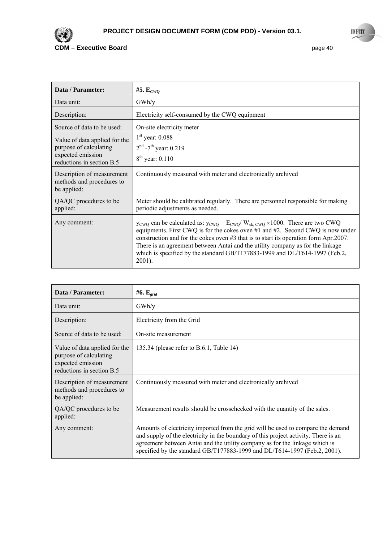

| Data / Parameter:                                                        | #5. $\mathbf{E}_{CWO}$                                                                                                                                                                                                                                                                                                                                                                                                                                                               |
|--------------------------------------------------------------------------|--------------------------------------------------------------------------------------------------------------------------------------------------------------------------------------------------------------------------------------------------------------------------------------------------------------------------------------------------------------------------------------------------------------------------------------------------------------------------------------|
| Data unit:                                                               | GWh/y                                                                                                                                                                                                                                                                                                                                                                                                                                                                                |
| Description:                                                             | Electricity self-consumed by the CWQ equipment                                                                                                                                                                                                                                                                                                                                                                                                                                       |
| Source of data to be used:                                               | On-site electricity meter                                                                                                                                                                                                                                                                                                                                                                                                                                                            |
| Value of data applied for the                                            | $1st$ year: 0.088                                                                                                                                                                                                                                                                                                                                                                                                                                                                    |
| purpose of calculating<br>expected emission<br>reductions in section B.5 | $2nd$ -7 <sup>th</sup> year: 0.219<br>$8^{th}$ year: 0.110                                                                                                                                                                                                                                                                                                                                                                                                                           |
| Description of measurement<br>methods and procedures to<br>be applied:   | Continuously measured with meter and electronically archived                                                                                                                                                                                                                                                                                                                                                                                                                         |
| QA/QC procedures to be<br>applied:                                       | Meter should be calibrated regularly. There are personnel responsible for making<br>periodic adjustments as needed.                                                                                                                                                                                                                                                                                                                                                                  |
| Any comment:                                                             | $y_{\text{CWQ}}$ can be calculated as: $y_{\text{CWQ}} = E_{\text{CWQ}}/W_{\text{ck, CWQ}} \times 1000$ . There are two CWQ<br>equipments. First CWQ is for the cokes oven #1 and #2. Second CWQ is now under<br>construction and for the cokes oven #3 that is to start its operation form Apr. 2007.<br>There is an agreement between Antai and the utility company as for the linkage<br>which is specified by the standard GB/T177883-1999 and DL/T614-1997 (Feb.2,<br>$2001$ ). |

| Data / Parameter:                                                                                         | #6. $E_{grid}$                                                                                                                                                                                                                                                                                                                      |
|-----------------------------------------------------------------------------------------------------------|-------------------------------------------------------------------------------------------------------------------------------------------------------------------------------------------------------------------------------------------------------------------------------------------------------------------------------------|
| Data unit:                                                                                                | GWh/v                                                                                                                                                                                                                                                                                                                               |
| Description:                                                                                              | Electricity from the Grid                                                                                                                                                                                                                                                                                                           |
| Source of data to be used:                                                                                | On-site measurement                                                                                                                                                                                                                                                                                                                 |
| Value of data applied for the<br>purpose of calculating<br>expected emission<br>reductions in section B.5 | 135.34 (please refer to B.6.1, Table 14)                                                                                                                                                                                                                                                                                            |
| Description of measurement<br>methods and procedures to<br>be applied:                                    | Continuously measured with meter and electronically archived                                                                                                                                                                                                                                                                        |
| QA/QC procedures to be<br>applied:                                                                        | Measurement results should be crosschecked with the quantity of the sales.                                                                                                                                                                                                                                                          |
| Any comment:                                                                                              | Amounts of electricity imported from the grid will be used to compare the demand<br>and supply of the electricity in the boundary of this project activity. There is an<br>agreement between Antai and the utility company as for the linkage which is<br>specified by the standard GB/T177883-1999 and DL/T614-1997 (Feb.2, 2001). |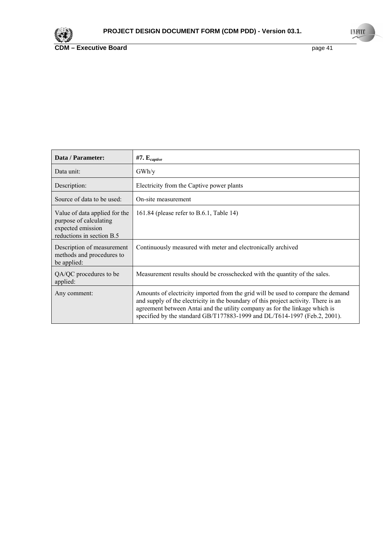

 $\mathbf{r}$ 

| Data / Parameter:                                                                                         | $#7. E_{captive}$                                                                                                                                                                                                                                                                                                                   |
|-----------------------------------------------------------------------------------------------------------|-------------------------------------------------------------------------------------------------------------------------------------------------------------------------------------------------------------------------------------------------------------------------------------------------------------------------------------|
| Data unit:                                                                                                | GWh/y                                                                                                                                                                                                                                                                                                                               |
| Description:                                                                                              | Electricity from the Captive power plants                                                                                                                                                                                                                                                                                           |
| Source of data to be used:                                                                                | On-site measurement                                                                                                                                                                                                                                                                                                                 |
| Value of data applied for the<br>purpose of calculating<br>expected emission<br>reductions in section B.5 | 161.84 (please refer to B.6.1, Table 14)                                                                                                                                                                                                                                                                                            |
| Description of measurement<br>methods and procedures to<br>be applied:                                    | Continuously measured with meter and electronically archived                                                                                                                                                                                                                                                                        |
| QA/QC procedures to be<br>applied:                                                                        | Measurement results should be crosschecked with the quantity of the sales.                                                                                                                                                                                                                                                          |
| Any comment:                                                                                              | Amounts of electricity imported from the grid will be used to compare the demand<br>and supply of the electricity in the boundary of this project activity. There is an<br>agreement between Antai and the utility company as for the linkage which is<br>specified by the standard GB/T177883-1999 and DL/T614-1997 (Feb.2, 2001). |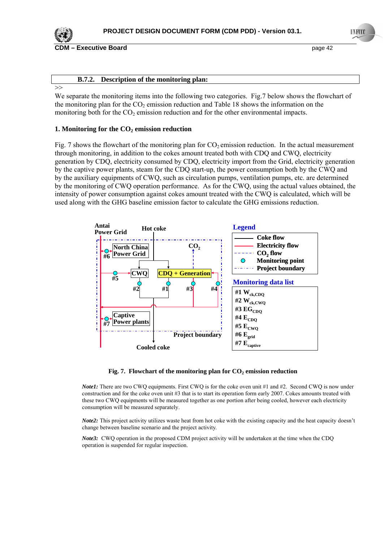

**CDM – Executive Board page 42 page 42** 

#### **B.7.2. Description of the monitoring plan:**

>>

We separate the monitoring items into the following two categories. Fig.7 below shows the flowchart of the monitoring plan for the  $CO<sub>2</sub>$  emission reduction and Table 18 shows the information on the monitoring both for the  $CO<sub>2</sub>$  emission reduction and for the other environmental impacts.

#### **1. Monitoring for the CO<sub>2</sub> emission reduction**

Fig. 7 shows the flowchart of the monitoring plan for  $CO<sub>2</sub>$  emission reduction. In the actual measurement through monitoring, in addition to the cokes amount treated both with CDQ and CWQ, electricity generation by CDQ, electricity consumed by CDQ, electricity import from the Grid, electricity generation by the captive power plants, steam for the CDQ start-up, the power consumption both by the CWQ and by the auxiliary equipments of CWQ, such as circulation pumps, ventilation pumps, etc. are determined by the monitoring of CWQ operation performance. As for the CWQ, using the actual values obtained, the intensity of power consumption against cokes amount treated with the CWQ is calculated, which will be used along with the GHG baseline emission factor to calculate the GHG emissions reduction.



#### Fig. 7. Flowchart of the monitoring plan for CO<sub>2</sub> emission reduction

*Note1*: There are two CWO equipments. First CWO is for the coke oven unit #1 and #2. Second CWO is now under construction and for the coke oven unit #3 that is to start its operation form early 2007. Cokes amounts treated with these two CWQ equipments will be measured together as one portion after being cooled, however each electricity consumption will be measured separately.

*Note2*: This project activity utilizes waste heat from hot coke with the existing capacity and the heat capacity doesn't change between baseline scenario and the project activity.

*Note3:* CWQ operation in the proposed CDM project activity will be undertaken at the time when the CDQ operation is suspended for regular inspection.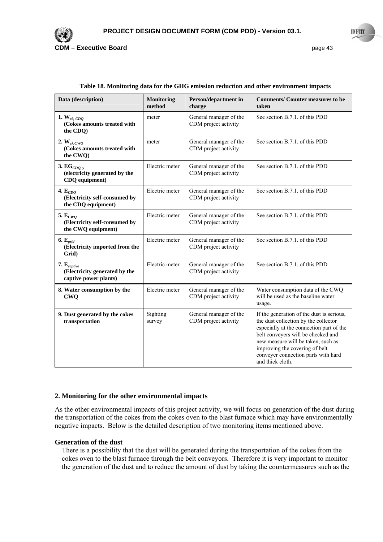

| Data (description)                                                         | <b>Monitoring</b><br>method | Person/department in<br>charge                 | <b>Comments/Counter measures to be</b><br>taken                                                                                                                                                                                                                                                        |
|----------------------------------------------------------------------------|-----------------------------|------------------------------------------------|--------------------------------------------------------------------------------------------------------------------------------------------------------------------------------------------------------------------------------------------------------------------------------------------------------|
| 1. $W_{ck,CDQ}$<br>(Cokes amounts treated with<br>the CDQ)                 | meter                       | General manager of the<br>CDM project activity | See section B.7.1, of this PDD                                                                                                                                                                                                                                                                         |
| 2. $W_{ck,CWO}$<br>(Cokes amounts treated with<br>the CWO)                 | meter                       | General manager of the<br>CDM project activity | See section B.7.1, of this PDD                                                                                                                                                                                                                                                                         |
| 3. $EG_{CDO, v}$<br>(electricity generated by the<br>CDQ equipment)        | Electric meter              | General manager of the<br>CDM project activity | See section B.7.1. of this PDD                                                                                                                                                                                                                                                                         |
| 4. $E_{CDO}$<br>(Electricity self-consumed by<br>the CDQ equipment)        | Electric meter              | General manager of the<br>CDM project activity | See section B.7.1, of this PDD                                                                                                                                                                                                                                                                         |
| 5. $E_{CWO}$<br>(Electricity self-consumed by<br>the CWQ equipment)        | Electric meter              | General manager of the<br>CDM project activity | See section B.7.1, of this PDD                                                                                                                                                                                                                                                                         |
| 6.E <sub>grid</sub><br>(Electricity imported from the<br>Grid)             | Electric meter              | General manager of the<br>CDM project activity | See section B.7.1. of this PDD                                                                                                                                                                                                                                                                         |
| $7. E_{captive}$<br>(Electricity generated by the<br>captive power plants) | Electric meter              | General manager of the<br>CDM project activity | See section B.7.1, of this PDD                                                                                                                                                                                                                                                                         |
| 8. Water consumption by the<br><b>CWQ</b>                                  | Electric meter              | General manager of the<br>CDM project activity | Water consumption data of the CWQ<br>will be used as the baseline water<br>usage.                                                                                                                                                                                                                      |
| 9. Dust generated by the cokes<br>transportation                           | Sighting<br>survey          | General manager of the<br>CDM project activity | If the generation of the dust is serious,<br>the dust collection by the collector<br>especially at the connection part of the<br>belt conveyers will be checked and<br>new measure will be taken, such as<br>improving the covering of belt<br>conveyer connection parts with hard<br>and thick cloth. |

#### **Table 18***.* **Monitoring data for the GHG emission reduction and other environment impacts**

#### **2. Monitoring for the other environmental impacts**

As the other environmental impacts of this project activity, we will focus on generation of the dust during the transportation of the cokes from the cokes oven to the blast furnace which may have environmentally negative impacts. Below is the detailed description of two monitoring items mentioned above.

#### **Generation of the dust**

There is a possibility that the dust will be generated during the transportation of the cokes from the cokes oven to the blast furnace through the belt conveyors. Therefore it is very important to monitor the generation of the dust and to reduce the amount of dust by taking the countermeasures such as the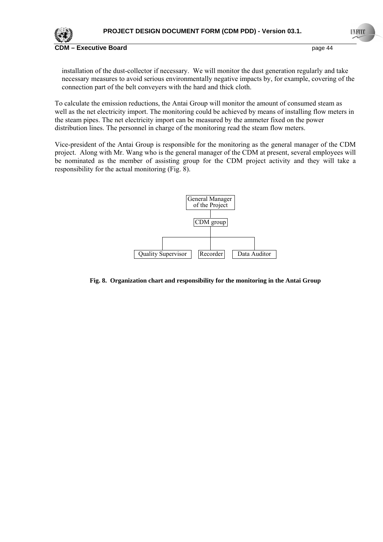

installation of the dust-collector if necessary. We will monitor the dust generation regularly and take necessary measures to avoid serious environmentally negative impacts by, for example, covering of the connection part of the belt conveyers with the hard and thick cloth.

To calculate the emission reductions, the Antai Group will monitor the amount of consumed steam as well as the net electricity import. The monitoring could be achieved by means of installing flow meters in the steam pipes. The net electricity import can be measured by the ammeter fixed on the power distribution lines. The personnel in charge of the monitoring read the steam flow meters.

Vice-president of the Antai Group is responsible for the monitoring as the general manager of the CDM project. Along with Mr. Wang who is the general manager of the CDM at present, several employees will be nominated as the member of assisting group for the CDM project activity and they will take a responsibility for the actual monitoring (Fig. 8).



#### **Fig. 8. Organization chart and responsibility for the monitoring in the Antai Group**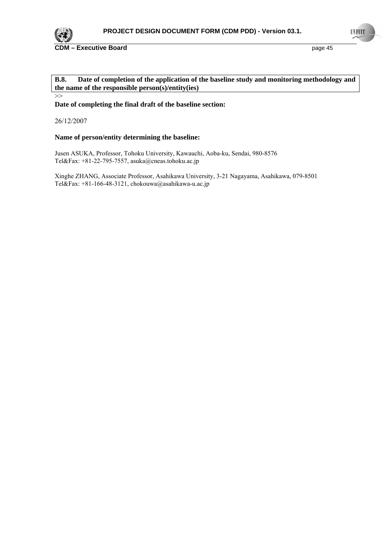

>>

## **B.8. Date of completion of the application of the baseline study and monitoring methodology and the name of the responsible person(s)/entity(ies)**

**Date of completing the final draft of the baseline section:** 

26/12/2007

#### **Name of person/entity determining the baseline:**

Jusen ASUKA, Professor, Tohoku University, Kawauchi, Aoba-ku, Sendai, 980-8576 Tel&Fax: +81-22-795-7557, asuka@cneas.tohoku.ac.jp

Xinghe ZHANG, Associate Professor, Asahikawa University, 3-21 Nagayama, Asahikawa, 079-8501 Tel&Fax:  $+81-166-48-3121$ , chokouwa@asahikawa-u.ac.jp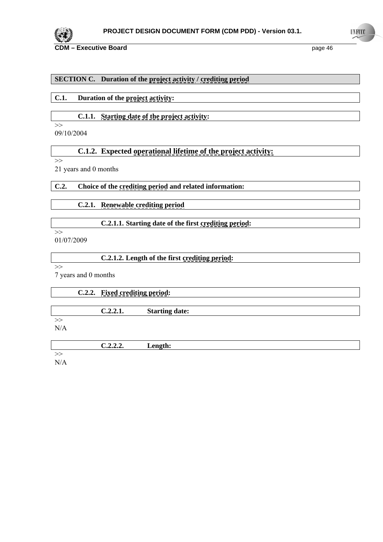

## **SECTION C. Duration of the project activity / crediting period**

**C.1. Duration of the project activity:** 

## **C.1.1. Starting date of the project activity:**

09/10/2004

## **C.1.2. Expected operational lifetime of the project activity:**

>>

 $\gt$ 

21 years and 0 months

## **C.2. Choice of the crediting period and related information:**

 **C.2.1. Renewable crediting period**

## **C.2.1.1. Starting date of the first crediting period:**

 $>\gt$ 01/07/2009

| C.2.1.2. Length of the first crediting period: |  |
|------------------------------------------------|--|
|------------------------------------------------|--|

 $\overline{\rightarrow}$ 

7 years and 0 months

# **C.2.2. Fixed crediting period: C.2.2.1. Starting date:**   $\gt$

N/A

| ه د د | anath:<br>Lengun; |
|-------|-------------------|
|       |                   |

>>

N/A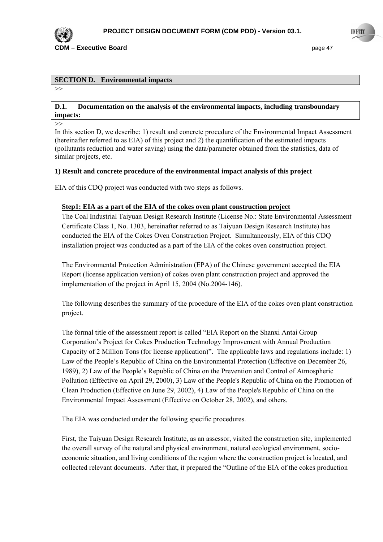

### **SECTION D. Environmental impacts**

 $\rightarrow$ 

#### **D.1. Documentation on the analysis of the environmental impacts, including transboundary impacts:**

>>

In this section D, we describe: 1) result and concrete procedure of the Environmental Impact Assessment (hereinafter referred to as EIA) of this project and 2) the quantification of the estimated impacts (pollutants reduction and water saving) using the data/parameter obtained from the statistics, data of similar projects, etc.

## **1) Result and concrete procedure of the environmental impact analysis of this project**

EIA of this CDQ project was conducted with two steps as follows.

## **Step1: EIA as a part of the EIA of the cokes oven plant construction project**

The Coal Industrial Taiyuan Design Research Institute (License No.: State Environmental Assessment Certificate Class 1, No. 1303, hereinafter referred to as Taiyuan Design Research Institute) has conducted the EIA of the Cokes Oven Construction Project. Simultaneously, EIA of this CDQ installation project was conducted as a part of the EIA of the cokes oven construction project.

The Environmental Protection Administration (EPA) of the Chinese government accepted the EIA Report (license application version) of cokes oven plant construction project and approved the implementation of the project in April 15, 2004 (No.2004-146).

The following describes the summary of the procedure of the EIA of the cokes oven plant construction project.

The formal title of the assessment report is called "EIA Report on the Shanxi Antai Group Corporation's Project for Cokes Production Technology Improvement with Annual Production Capacity of 2 Million Tons (for license application)". The applicable laws and regulations include: 1) Law of the People's Republic of China on the Environmental Protection (Effective on December 26, 1989), 2) Law of the People's Republic of China on the Prevention and Control of Atmospheric Pollution (Effective on April 29, 2000), 3) Law of the People's Republic of China on the Promotion of Clean Production (Effective on June 29, 2002), 4) Law of the People's Republic of China on the Environmental Impact Assessment (Effective on October 28, 2002), and others.

The EIA was conducted under the following specific procedures.

First, the Taiyuan Design Research Institute, as an assessor, visited the construction site, implemented the overall survey of the natural and physical environment, natural ecological environment, socioeconomic situation, and living conditions of the region where the construction project is located, and collected relevant documents. After that, it prepared the "Outline of the EIA of the cokes production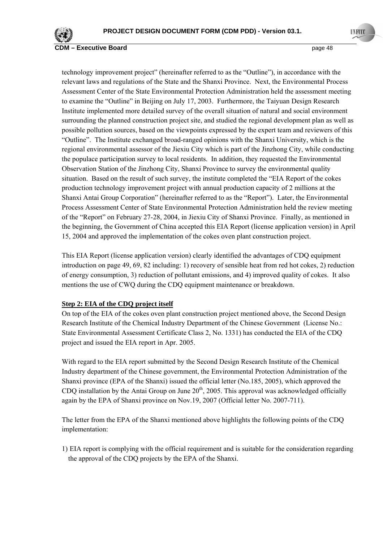

**COM – Executive Board COM 2008 COM 2009 COM 2009 Page 48** 

technology improvement project" (hereinafter referred to as the "Outline"), in accordance with the relevant laws and regulations of the State and the Shanxi Province. Next, the Environmental Process Assessment Center of the State Environmental Protection Administration held the assessment meeting to examine the "Outline" in Beijing on July 17, 2003. Furthermore, the Taiyuan Design Research Institute implemented more detailed survey of the overall situation of natural and social environment surrounding the planned construction project site, and studied the regional development plan as well as possible pollution sources, based on the viewpoints expressed by the expert team and reviewers of this "Outline". The Institute exchanged broad-ranged opinions with the Shanxi University, which is the regional environmental assessor of the Jiexiu City which is part of the Jinzhong City, while conducting the populace participation survey to local residents. In addition, they requested the Environmental Observation Station of the Jinzhong City, Shanxi Province to survey the environmental quality situation. Based on the result of such survey, the institute completed the "EIA Report of the cokes production technology improvement project with annual production capacity of 2 millions at the Shanxi Antai Group Corporation" (hereinafter referred to as the "Report"). Later, the Environmental Process Assessment Center of State Environmental Protection Administration held the review meeting of the "Report" on February 27-28, 2004, in Jiexiu City of Shanxi Province. Finally, as mentioned in the beginning, the Government of China accepted this EIA Report (license application version) in April 15, 2004 and approved the implementation of the cokes oven plant construction project.

This EIA Report (license application version) clearly identified the advantages of CDQ equipment introduction on page 49, 69, 82 including: 1) recovery of sensible heat from red hot cokes, 2) reduction of energy consumption, 3) reduction of pollutant emissions, and 4) improved quality of cokes. It also mentions the use of CWQ during the CDQ equipment maintenance or breakdown.

#### **Step 2: EIA of the CDQ project itself**

On top of the EIA of the cokes oven plant construction project mentioned above, the Second Design Research Institute of the Chemical Industry Department of the Chinese Government (License No.: State Environmental Assessment Certificate Class 2, No. 1331) has conducted the EIA of the CDQ project and issued the EIA report in Apr. 2005.

With regard to the EIA report submitted by the Second Design Research Institute of the Chemical Industry department of the Chinese government, the Environmental Protection Administration of the Shanxi province (EPA of the Shanxi) issued the official letter (No.185, 2005), which approved the CDQ installation by the Antai Group on June  $20<sup>th</sup>$ , 2005. This approval was acknowledged officially again by the EPA of Shanxi province on Nov.19, 2007 (Official letter No. 2007-711).

The letter from the EPA of the Shanxi mentioned above highlights the following points of the CDQ implementation:

1) EIA report is complying with the official requirement and is suitable for the consideration regarding the approval of the CDQ projects by the EPA of the Shanxi.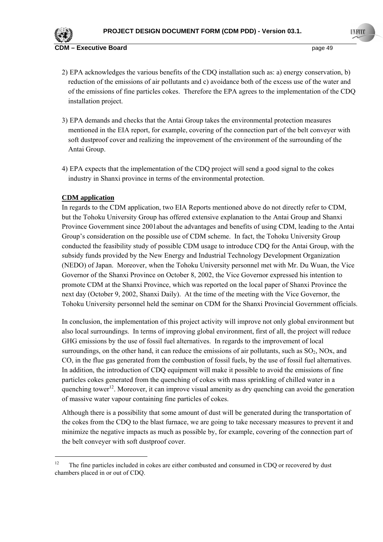

- 2) EPA acknowledges the various benefits of the CDQ installation such as: a) energy conservation, b) reduction of the emissions of air pollutants and c) avoidance both of the excess use of the water and of the emissions of fine particles cokes. Therefore the EPA agrees to the implementation of the CDQ installation project.
- 3) EPA demands and checks that the Antai Group takes the environmental protection measures mentioned in the EIA report, for example, covering of the connection part of the belt conveyer with soft dustproof cover and realizing the improvement of the environment of the surrounding of the Antai Group.
- 4) EPA expects that the implementation of the CDQ project will send a good signal to the cokes industry in Shanxi province in terms of the environmental protection.

## **CDM application**

 $\overline{a}$ 

In regards to the CDM application, two EIA Reports mentioned above do not directly refer to CDM, but the Tohoku University Group has offered extensive explanation to the Antai Group and Shanxi Province Government since 2001about the advantages and benefits of using CDM, leading to the Antai Group's consideration on the possible use of CDM scheme. In fact, the Tohoku University Group conducted the feasibility study of possible CDM usage to introduce CDQ for the Antai Group, with the subsidy funds provided by the New Energy and Industrial Technology Development Organization (NEDO) of Japan. Moreover, when the Tohoku University personnel met with Mr. Du Wuan, the Vice Governor of the Shanxi Province on October 8, 2002, the Vice Governor expressed his intention to promote CDM at the Shanxi Province, which was reported on the local paper of Shanxi Province the next day (October 9, 2002, Shanxi Daily). At the time of the meeting with the Vice Governor, the Tohoku University personnel held the seminar on CDM for the Shanxi Provincial Government officials.

In conclusion, the implementation of this project activity will improve not only global environment but also local surroundings. In terms of improving global environment, first of all, the project will reduce GHG emissions by the use of fossil fuel alternatives. In regards to the improvement of local surroundings, on the other hand, it can reduce the emissions of air pollutants, such as  $SO_2$ , NOx, and CO, in the flue gas generated from the combustion of fossil fuels, by the use of fossil fuel alternatives. In addition, the introduction of CDQ equipment will make it possible to avoid the emissions of fine particles cokes generated from the quenching of cokes with mass sprinkling of chilled water in a quenching tower<sup>12</sup>. Moreover, it can improve visual amenity as dry quenching can avoid the generation of massive water vapour containing fine particles of cokes.

Although there is a possibility that some amount of dust will be generated during the transportation of the cokes from the CDQ to the blast furnace, we are going to take necessary measures to prevent it and minimize the negative impacts as much as possible by, for example, covering of the connection part of the belt conveyer with soft dustproof cover.

<sup>&</sup>lt;sup>12</sup> The fine particles included in cokes are either combusted and consumed in CDQ or recovered by dust chambers placed in or out of CDQ.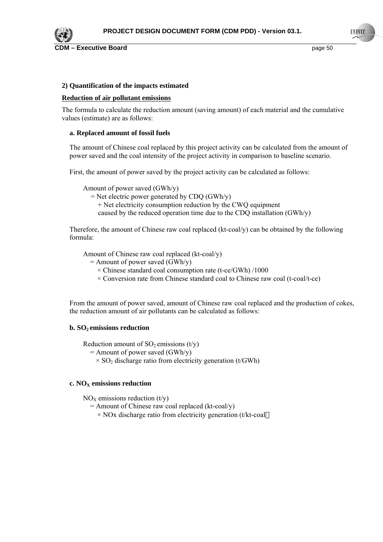

#### **2) Quantification of the impacts estimated**

#### **Reduction of air pollutant emissions**

The formula to calculate the reduction amount (saving amount) of each material and the cumulative values (estimate) are as follows:

#### **a. Replaced amount of fossil fuels**

The amount of Chinese coal replaced by this project activity can be calculated from the amount of power saved and the coal intensity of the project activity in comparison to baseline scenario.

First, the amount of power saved by the project activity can be calculated as follows:

Amount of power saved (GWh/y)

 $=$  Net electric power generated by CDQ (GWh/y)

+ Net electricity consumption reduction by the CWQ equipment

caused by the reduced operation time due to the CDQ installation (GWh/y)

Therefore, the amount of Chinese raw coal replaced  $(kt\text{-}coal/v)$  can be obtained by the following formula:

Amount of Chinese raw coal replaced (kt-coal/y)

- $=$  Amount of power saved (GWh/y)
	- $\times$  Chinese standard coal consumption rate (t-ce/GWh) /1000
	- $\times$  Conversion rate from Chinese standard coal to Chinese raw coal (t-coal/t-ce)

From the amount of power saved, amount of Chinese raw coal replaced and the production of cokes, the reduction amount of air pollutants can be calculated as follows:

#### **b. SO2 emissions reduction**

Reduction amount of  $SO_2$  emissions (t/y)

 $=$  Amount of power saved (GWh/y)

 $\times$  SO<sub>2</sub> discharge ratio from electricity generation (t/GWh)

## **c. NO<sub>X</sub> emissions reduction**

 $NO<sub>x</sub>$  emissions reduction (t/y)

 $=$  Amount of Chinese raw coal replaced (kt-coal/y)

 $\times$  NOx discharge ratio from electricity generation (t/kt-coal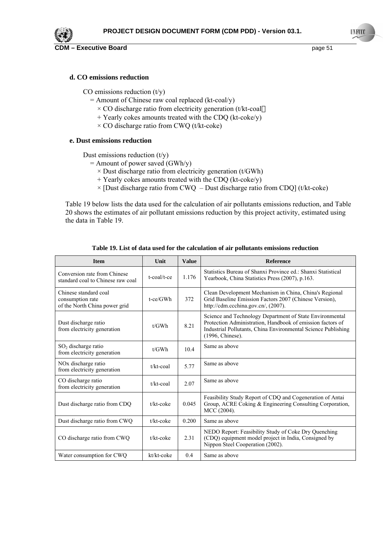

## **d. CO emissions reduction**

CO emissions reduction  $(t/y)$ 

- = Amount of Chinese raw coal replaced (kt-coal/y)
	- $\times$  CO discharge ratio from electricity generation (t/kt-coal
	- + Yearly cokes amounts treated with the CDQ (kt-coke/y)
	- $\times$  CO discharge ratio from CWQ (t/kt-coke)

## **e. Dust emissions reduction**

Dust emissions reduction  $(t/v)$ 

- = Amount of power saved (GWh/y)
	- $\times$  Dust discharge ratio from electricity generation (t/GWh)
	- + Yearly cokes amounts treated with the CDQ (kt-coke/y)
	- $\times$  [Dust discharge ratio from CWQ Dust discharge ratio from CDQ] (t/kt-coke)

Table 19 below lists the data used for the calculation of air pollutants emissions reduction, and Table 20 shows the estimates of air pollutant emissions reduction by this project activity, estimated using the data in Table 19.

| <b>Item</b>                                                                | Unit               | <b>Value</b> | <b>Reference</b>                                                                                                                                                                                            |
|----------------------------------------------------------------------------|--------------------|--------------|-------------------------------------------------------------------------------------------------------------------------------------------------------------------------------------------------------------|
| Conversion rate from Chinese<br>standard coal to Chinese raw coal          | $t$ -coal/ $t$ -ce | 1.176        | Statistics Bureau of Shanxi Province ed.: Shanxi Statistical<br>Yearbook, China Statistics Press (2007), p.163.                                                                                             |
| Chinese standard coal<br>consumption rate<br>of the North China power grid | $t$ -ce/ $GWh$     | 372          | Clean Development Mechanism in China, China's Regional<br>Grid Baseline Emission Factors 2007 (Chinese Version),<br>http://cdm.ccchina.gov.cn/, (2007).                                                     |
| Dust discharge ratio<br>from electricity generation                        | t/GWh              | 8.21         | Science and Technology Department of State Environmental<br>Protection Administration, Handbook of emission factors of<br>Industrial Pollutants, China Environmental Science Publishing<br>(1996, Chinese). |
| $SO2$ discharge ratio<br>from electricity generation                       | t/GWh              | 10.4         | Same as above                                                                                                                                                                                               |
| NO <sub>x</sub> discharge ratio<br>from electricity generation             | $t/kt$ -coal       | 5.77         | Same as above                                                                                                                                                                                               |
| CO discharge ratio<br>from electricity generation                          | $t/kt$ -coal       | 2.07         | Same as above                                                                                                                                                                                               |
| Dust discharge ratio from CDQ                                              | $t/kt$ -coke       | 0.045        | Feasibility Study Report of CDQ and Cogeneration of Antai<br>Group, ACRE Coking & Engineering Consulting Corporation,<br>MCC (2004).                                                                        |
| Dust discharge ratio from CWQ                                              | t/kt-coke          | 0.200        | Same as above                                                                                                                                                                                               |
| CO discharge ratio from CWQ                                                | $t/kt$ -coke       | 2.31         | NEDO Report: Feasibility Study of Coke Dry Quenching<br>(CDQ) equipment model project in India, Consigned by<br>Nippon Steel Cooperation (2002).                                                            |
| Water consumption for CWQ                                                  | kt/kt-coke         | 0.4          | Same as above                                                                                                                                                                                               |

**Table 19. List of data used for the calculation of air pollutants emissions reduction**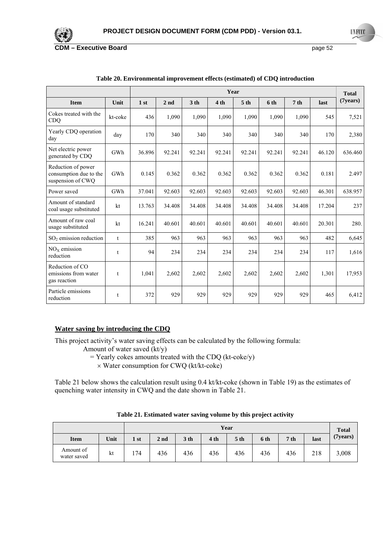

|                                                                   |             | Year   |                 |                 |                 |                 |        |                 |        | <b>Total</b> |
|-------------------------------------------------------------------|-------------|--------|-----------------|-----------------|-----------------|-----------------|--------|-----------------|--------|--------------|
| <b>Item</b>                                                       | Unit        | 1st    | 2 <sub>nd</sub> | 3 <sub>th</sub> | 4 <sub>th</sub> | 5 <sub>th</sub> | 6 th   | 7 <sub>th</sub> | last   | (7 years)    |
| Cokes treated with the<br><b>CDQ</b>                              | kt-coke     | 436    | 1,090           | 1,090           | 1,090           | 1,090           | 1,090  | 1,090           | 545    | 7,521        |
| Yearly CDQ operation<br>day                                       | day         | 170    | 340             | 340             | 340             | 340             | 340    | 340             | 170    | 2,380        |
| Net electric power<br>generated by CDQ                            | GWh         | 36.896 | 92.241          | 92.241          | 92.241          | 92.241          | 92.241 | 92.241          | 46.120 | 636.460      |
| Reduction of power<br>consumption due to the<br>suspension of CWQ | GWh         | 0.145  | 0.362           | 0.362           | 0.362           | 0.362           | 0.362  | 0.362           | 0.181  | 2.497        |
| Power saved                                                       | GWh         | 37.041 | 92.603          | 92.603          | 92.603          | 92.603          | 92.603 | 92.603          | 46.301 | 638.957      |
| Amount of standard<br>coal usage substituted                      | kt          | 13.763 | 34.408          | 34.408          | 34.408          | 34.408          | 34.408 | 34.408          | 17.204 | 237          |
| Amount of raw coal<br>usage substituted                           | kt          | 16.241 | 40.601          | 40.601          | 40.601          | 40.601          | 40.601 | 40.601          | 20.301 | 280.         |
| $SO2$ emission reduction                                          | $\mathbf t$ | 385    | 963             | 963             | 963             | 963             | 963    | 963             | 482    | 6,645        |
| $NOx$ emission<br>reduction                                       | t           | 94     | 234             | 234             | 234             | 234             | 234    | 234             | 117    | 1,616        |
| Reduction of CO<br>emissions from water<br>gas reaction           | t           | 1,041  | 2,602           | 2,602           | 2,602           | 2,602           | 2,602  | 2,602           | 1,301  | 17,953       |
| Particle emissions<br>reduction                                   | t           | 372    | 929             | 929             | 929             | 929             | 929    | 929             | 465    | 6,412        |

#### **Table 20. Environmental improvement effects (estimated) of CDQ introduction**

### **Water saving by introducing the CDQ**

This project activity's water saving effects can be calculated by the following formula:

Amount of water saved (kt/y)

- $=$  Yearly cokes amounts treated with the CDQ (kt-coke/y)
	- × Water consumption for CWQ (kt/kt-coke)

Table 21 below shows the calculation result using 0.4 kt/kt-coke (shown in Table 19) as the estimates of quenching water intensity in CWQ and the date shown in Table 21.

| Year                     |      |      |                 |                 |                 |                 |      |                 | <b>Total</b> |                 |
|--------------------------|------|------|-----------------|-----------------|-----------------|-----------------|------|-----------------|--------------|-----------------|
| <b>Item</b>              | Unit | 1 st | 2 <sub>nd</sub> | 3 <sub>th</sub> | 4 <sub>th</sub> | 5 <sub>th</sub> | 6 th | 7 <sub>th</sub> | last         | $(7)$ years $)$ |
| Amount of<br>water saved | kt   | 174  | 436             | 436             | 436             | 436             | 436  | 436             | 218          | 3,008           |

**Table 21. Estimated water saving volume by this project activity**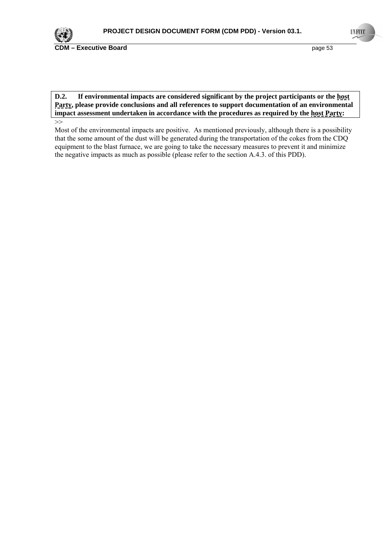

**D.2. If environmental impacts are considered significant by the project participants or the host Party, please provide conclusions and all references to support documentation of an environmental impact assessment undertaken in accordance with the procedures as required by the host Party:** 

Most of the environmental impacts are positive. As mentioned previously, although there is a possibility that the some amount of the dust will be generated during the transportation of the cokes from the CDQ equipment to the blast furnace, we are going to take the necessary measures to prevent it and minimize the negative impacts as much as possible (please refer to the section A.4.3. of this PDD).

<sup>&</sup>gt;>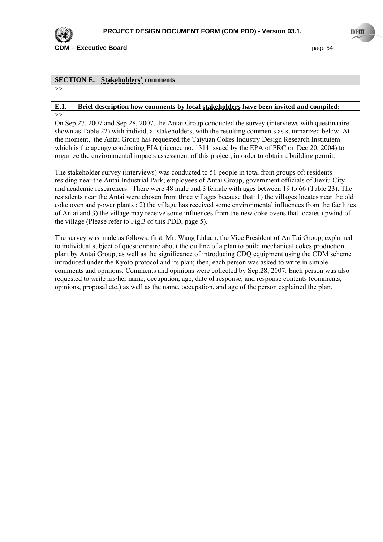![](_page_53_Picture_0.jpeg)

**CDM – Executive Board page 54 page 54 page 54 page 54** 

### **SECTION E. Stakeholders' comments**

 $\rightarrow$ 

#### **E.1. Brief description how comments by local stakeholders have been invited and compiled:** >>

On Sep.27, 2007 and Sep.28, 2007, the Antai Group conducted the survey (interviews with questinaaire shown as Table 22) with individual stakeholders, with the resulting comments as summarized below. At the moment, the Antai Group has requested the Taiyuan Cokes Industry Design Research Institutem which is the agengy conducting EIA (ricence no. 1311 issued by the EPA of PRC on Dec. 20, 2004) to organize the environmental impacts assessment of this project, in order to obtain a building permit.

The stakeholder survey (interviews) was conducted to 51 people in total from groups of: residents residing near the Antai Industrial Park; employees of Antai Group, government officials of Jiexiu City and academic researchers. There were 48 male and 3 female with ages between 19 to 66 (Table 23). The resisdents near the Antai were chosen from three villages because that: 1) the villages locates near the old coke oven and power plants ; 2) the village has received some environmental influences from the facilities of Antai and 3) the village may receive some influences from the new coke ovens that locates upwind of the village (Please refer to Fig.3 of this PDD, page 5).

The survey was made as follows: first, Mr. Wang Liduan, the Vice President of An Tai Group, explained to individual subject of questionnaire about the outline of a plan to build mechanical cokes production plant by Antai Group, as well as the significance of introducing CDQ equipment using the CDM scheme introduced under the Kyoto protocol and its plan; then, each person was asked to write in simple comments and opinions. Comments and opinions were collected by Sep.28, 2007. Each person was also requested to write his/her name, occupation, age, date of response, and response contents (comments, opinions, proposal etc.) as well as the name, occupation, and age of the person explained the plan.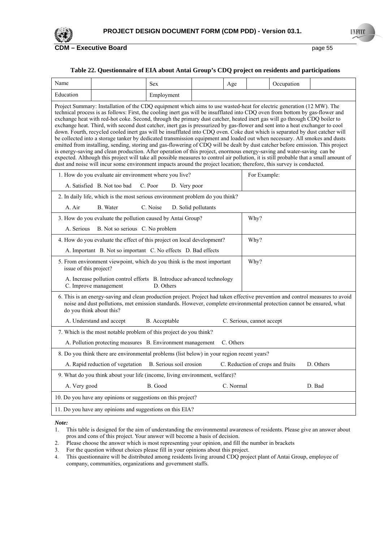![](_page_54_Picture_0.jpeg)

#### **Table 22. Questionnaire of EIA about Antai Group's CDQ project on residents and participations**

| Name                                                                                                                                                                                                                                                                                                                                                                                                                                                                                                                                                                                                                                                                                                                                                                                                                                                                                                                                                                                                                                                                                                                                                                                                                                                                                                            |                                                                                                                                                                                                                                                                                     | <b>Sex</b>              |                     | Age       |                           | Occupation                       |           |  |
|-----------------------------------------------------------------------------------------------------------------------------------------------------------------------------------------------------------------------------------------------------------------------------------------------------------------------------------------------------------------------------------------------------------------------------------------------------------------------------------------------------------------------------------------------------------------------------------------------------------------------------------------------------------------------------------------------------------------------------------------------------------------------------------------------------------------------------------------------------------------------------------------------------------------------------------------------------------------------------------------------------------------------------------------------------------------------------------------------------------------------------------------------------------------------------------------------------------------------------------------------------------------------------------------------------------------|-------------------------------------------------------------------------------------------------------------------------------------------------------------------------------------------------------------------------------------------------------------------------------------|-------------------------|---------------------|-----------|---------------------------|----------------------------------|-----------|--|
| Education                                                                                                                                                                                                                                                                                                                                                                                                                                                                                                                                                                                                                                                                                                                                                                                                                                                                                                                                                                                                                                                                                                                                                                                                                                                                                                       |                                                                                                                                                                                                                                                                                     | Employment              |                     |           |                           |                                  |           |  |
| Project Summary: Installation of the CDQ equipment which aims to use wasted-heat for electric generation (12 MW). The<br>technical process is as follows: First, the cooling inert gas will be insufflated into CDQ oven from bottom by gas-flower and<br>exchange heat with red-hot coke. Second, through the primary dust catcher, heated inert gas will go through CDQ boiler to<br>exchange heat. Third, with second dust catcher, inert gas is pressurized by gas-flower and sent into a heat exchanger to cool<br>down. Fourth, recycled cooled inert gas will be insufflated into CDQ oven. Coke dust which is separated by dust catcher will<br>be collected into a storage tanker by dedicated transmission equipment and loaded out when necessary. All smokes and dusts<br>emitted from installing, sending, storing and gas-flowering of CDQ will be dealt by dust catcher before emission. This project<br>is energy-saving and clean production. After operation of this project, enormous energy-saving and water-saving can be<br>expected. Although this project will take all possible measures to control air pollution, it is still probable that a small amount of<br>dust and noise will incur some environment impacts around the project location; therefore, this survey is conducted. |                                                                                                                                                                                                                                                                                     |                         |                     |           |                           |                                  |           |  |
|                                                                                                                                                                                                                                                                                                                                                                                                                                                                                                                                                                                                                                                                                                                                                                                                                                                                                                                                                                                                                                                                                                                                                                                                                                                                                                                 | 1. How do you evaluate air environment where you live?                                                                                                                                                                                                                              |                         |                     |           | For Example:              |                                  |           |  |
|                                                                                                                                                                                                                                                                                                                                                                                                                                                                                                                                                                                                                                                                                                                                                                                                                                                                                                                                                                                                                                                                                                                                                                                                                                                                                                                 | A. Satisfied B. Not too bad                                                                                                                                                                                                                                                         | C. Poor<br>D. Very poor |                     |           |                           |                                  |           |  |
|                                                                                                                                                                                                                                                                                                                                                                                                                                                                                                                                                                                                                                                                                                                                                                                                                                                                                                                                                                                                                                                                                                                                                                                                                                                                                                                 | 2. In daily life, which is the most serious environment problem do you think?                                                                                                                                                                                                       |                         |                     |           |                           |                                  |           |  |
| A. Air                                                                                                                                                                                                                                                                                                                                                                                                                                                                                                                                                                                                                                                                                                                                                                                                                                                                                                                                                                                                                                                                                                                                                                                                                                                                                                          | B. Water                                                                                                                                                                                                                                                                            | C. Noise                | D. Solid pollutants |           |                           |                                  |           |  |
|                                                                                                                                                                                                                                                                                                                                                                                                                                                                                                                                                                                                                                                                                                                                                                                                                                                                                                                                                                                                                                                                                                                                                                                                                                                                                                                 | 3. How do you evaluate the pollution caused by Antai Group?                                                                                                                                                                                                                         |                         |                     |           | Why?                      |                                  |           |  |
| A. Serious                                                                                                                                                                                                                                                                                                                                                                                                                                                                                                                                                                                                                                                                                                                                                                                                                                                                                                                                                                                                                                                                                                                                                                                                                                                                                                      | B. Not so serious C. No problem                                                                                                                                                                                                                                                     |                         |                     |           |                           |                                  |           |  |
|                                                                                                                                                                                                                                                                                                                                                                                                                                                                                                                                                                                                                                                                                                                                                                                                                                                                                                                                                                                                                                                                                                                                                                                                                                                                                                                 | 4. How do you evaluate the effect of this project on local development?                                                                                                                                                                                                             |                         |                     |           | Why?                      |                                  |           |  |
|                                                                                                                                                                                                                                                                                                                                                                                                                                                                                                                                                                                                                                                                                                                                                                                                                                                                                                                                                                                                                                                                                                                                                                                                                                                                                                                 | A. Important B. Not so important C. No effects D. Bad effects                                                                                                                                                                                                                       |                         |                     |           |                           |                                  |           |  |
|                                                                                                                                                                                                                                                                                                                                                                                                                                                                                                                                                                                                                                                                                                                                                                                                                                                                                                                                                                                                                                                                                                                                                                                                                                                                                                                 | Why?<br>5. From environment viewpoint, which do you think is the most important<br>issue of this project?                                                                                                                                                                           |                         |                     |           |                           |                                  |           |  |
|                                                                                                                                                                                                                                                                                                                                                                                                                                                                                                                                                                                                                                                                                                                                                                                                                                                                                                                                                                                                                                                                                                                                                                                                                                                                                                                 | A. Increase pollution control efforts B. Introduce advanced technology<br>C. Improve management                                                                                                                                                                                     | D. Others               |                     |           |                           |                                  |           |  |
|                                                                                                                                                                                                                                                                                                                                                                                                                                                                                                                                                                                                                                                                                                                                                                                                                                                                                                                                                                                                                                                                                                                                                                                                                                                                                                                 | 6. This is an energy-saving and clean production project. Project had taken effective prevention and control measures to avoid<br>noise and dust pollutions, met emission standards. However, complete environmental protection cannot be ensured, what<br>do you think about this? |                         |                     |           |                           |                                  |           |  |
|                                                                                                                                                                                                                                                                                                                                                                                                                                                                                                                                                                                                                                                                                                                                                                                                                                                                                                                                                                                                                                                                                                                                                                                                                                                                                                                 | A. Understand and accept                                                                                                                                                                                                                                                            | B. Acceptable           |                     |           | C. Serious, cannot accept |                                  |           |  |
|                                                                                                                                                                                                                                                                                                                                                                                                                                                                                                                                                                                                                                                                                                                                                                                                                                                                                                                                                                                                                                                                                                                                                                                                                                                                                                                 | 7. Which is the most notable problem of this project do you think?                                                                                                                                                                                                                  |                         |                     |           |                           |                                  |           |  |
|                                                                                                                                                                                                                                                                                                                                                                                                                                                                                                                                                                                                                                                                                                                                                                                                                                                                                                                                                                                                                                                                                                                                                                                                                                                                                                                 | A. Pollution protecting measures B. Environment management                                                                                                                                                                                                                          |                         |                     | C. Others |                           |                                  |           |  |
|                                                                                                                                                                                                                                                                                                                                                                                                                                                                                                                                                                                                                                                                                                                                                                                                                                                                                                                                                                                                                                                                                                                                                                                                                                                                                                                 | 8. Do you think there are environmental problems (list below) in your region recent years?                                                                                                                                                                                          |                         |                     |           |                           |                                  |           |  |
|                                                                                                                                                                                                                                                                                                                                                                                                                                                                                                                                                                                                                                                                                                                                                                                                                                                                                                                                                                                                                                                                                                                                                                                                                                                                                                                 | A. Rapid reduction of vegetation B. Serious soil erosion                                                                                                                                                                                                                            |                         |                     |           |                           | C. Reduction of crops and fruits | D. Others |  |
|                                                                                                                                                                                                                                                                                                                                                                                                                                                                                                                                                                                                                                                                                                                                                                                                                                                                                                                                                                                                                                                                                                                                                                                                                                                                                                                 | 9. What do you think about your life (income, living environment, welfare)?                                                                                                                                                                                                         |                         |                     |           |                           |                                  |           |  |
|                                                                                                                                                                                                                                                                                                                                                                                                                                                                                                                                                                                                                                                                                                                                                                                                                                                                                                                                                                                                                                                                                                                                                                                                                                                                                                                 | B. Good<br>C. Normal<br>A. Very good<br>D. Bad                                                                                                                                                                                                                                      |                         |                     |           |                           |                                  |           |  |
| 10. Do you have any opinions or suggestions on this project?                                                                                                                                                                                                                                                                                                                                                                                                                                                                                                                                                                                                                                                                                                                                                                                                                                                                                                                                                                                                                                                                                                                                                                                                                                                    |                                                                                                                                                                                                                                                                                     |                         |                     |           |                           |                                  |           |  |
|                                                                                                                                                                                                                                                                                                                                                                                                                                                                                                                                                                                                                                                                                                                                                                                                                                                                                                                                                                                                                                                                                                                                                                                                                                                                                                                 | 11. Do you have any opinions and suggestions on this EIA?                                                                                                                                                                                                                           |                         |                     |           |                           |                                  |           |  |

*Note:* 

- 2. Please choose the answer which is most representing your opinion, and fill the number in brackets
- 3. For the question without choices please fill in your opinions about this project.
- 4. This questionnaire will be distributed among residents living around CDQ project plant of Antai Group, employee of company, communities, organizations and government staffs.

<sup>1.</sup> This table is designed for the aim of understanding the environmental awareness of residents. Please give an answer about pros and cons of this project. Your answer will become a basis of decision.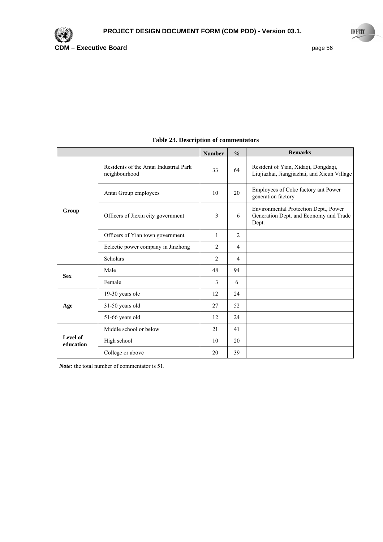|                       |                                                         | <b>Number</b>  | $\frac{0}{0}$  | <b>Remarks</b>                                                                           |
|-----------------------|---------------------------------------------------------|----------------|----------------|------------------------------------------------------------------------------------------|
| Group                 | Residents of the Antai Industrial Park<br>neighbourhood | 33             | 64             | Resident of Yian, Xidaqi, Dongdaqi,<br>Liujiazhai, Jiangjiazhai, and Xicun Village       |
|                       | Antai Group employees                                   | 10             | 20             | Employees of Coke factory ant Power<br>generation factory                                |
|                       | Officers of Jiexiu city government                      | 3              | 6              | Environmental Protection Dept., Power<br>Generation Dept. and Economy and Trade<br>Dept. |
|                       | Officers of Yian town government                        | 1              | $\overline{2}$ |                                                                                          |
|                       | Eclectic power company in Jinzhong                      | $\overline{c}$ | $\overline{4}$ |                                                                                          |
|                       | <b>Scholars</b>                                         | 2              | $\overline{4}$ |                                                                                          |
| <b>Sex</b>            | Male                                                    | 48             | 94             |                                                                                          |
|                       | Female                                                  | 3              | 6              |                                                                                          |
|                       | 19-30 years ole                                         | 12             | 24             |                                                                                          |
| Age                   | 31-50 years old                                         | 27             | 52             |                                                                                          |
|                       | 51-66 years old                                         | 12             | 24             |                                                                                          |
| Level of<br>education | Middle school or below                                  | 21             | 41             |                                                                                          |
|                       | High school                                             | 10             | 20             |                                                                                          |
|                       | College or above                                        | 20             | 39             |                                                                                          |

## **Table 23. Description of commentators**

*Note:* the total number of commentator is 51.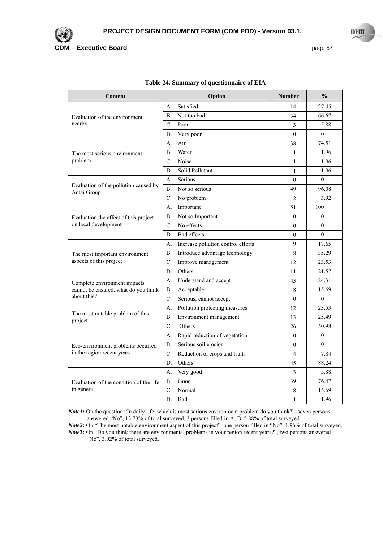![](_page_56_Picture_0.jpeg)

| Content                                              | Option                                   | <b>Number</b>  | $\frac{0}{0}$  |
|------------------------------------------------------|------------------------------------------|----------------|----------------|
|                                                      | Satisfied<br>А.                          | 14             | 27.45          |
| Evaluation of the environment<br>nearby              | Not too bad<br>Β.                        | 34             | 66.67          |
|                                                      | C.<br>Poor                               | 3              | 5.88           |
|                                                      | Very poor<br>D.                          | $\theta$       | $\theta$       |
|                                                      | Air<br>А.                                | 38             | 74.51          |
| The most serious environment                         | Water<br>В.                              | 1              | 1.96           |
| problem                                              | $\mathcal{C}$ .<br>Noise                 | $\mathbf{1}$   | 1.96           |
|                                                      | Solid Pollutant<br>D.                    | $\mathbf{1}$   | 1.96           |
|                                                      | Serious<br>А.                            | $\mathbf{0}$   | $\theta$       |
| Evaluation of the pollution caused by<br>Antai Group | B <sub>1</sub><br>Not so serious         | 49             | 96.08          |
|                                                      | C.<br>No problem                         | $\overline{2}$ | 3.92           |
|                                                      | Important<br>А.                          | 51             | 100            |
| Evaluation the effect of this project                | Β.<br>Not so Important                   | $\mathbf{0}$   | $\theta$       |
| on local development                                 | No effects<br>C.                         | $\overline{0}$ | $\overline{0}$ |
|                                                      | <b>Bad</b> effects<br>D.                 | $\mathbf{0}$   | $\theta$       |
|                                                      | A.<br>Increase pollution control efforts | 9              | 17.65          |
| The most important environment                       | В.<br>Introduce advantage technology     | 8              | 35.29          |
| aspects of this project                              | C.<br>Improve management                 | 12             | 23.53          |
|                                                      | D.<br>Others                             | 11             | 21.57          |
| Complete environment impacts                         | Understand and accept<br>А.              | 43             | 84.31          |
| cannot be ensured, what do you think                 | Acceptable<br>В.                         | 8              | 15.69          |
| about this?                                          | C.<br>Serious, cannot accept             | $\theta$       | $\Omega$       |
|                                                      | Pollution protecting measures<br>А.      | 12             | 23.53          |
| The most notable problem of this<br>project          | В.<br>Environment management             | 13             | 25.49          |
|                                                      | C.<br>Others                             | 26             | 50.98          |
|                                                      | Rapid reduction of vegetation<br>А.      | $\mathbf{0}$   | $\mathbf{0}$   |
| Eco-environment problems occurred                    | Serious soil erosion<br><b>B.</b>        | $\theta$       | $\theta$       |
| in the region recent years                           | C.<br>Reduction of crops and fruits      | 4              | 7.84           |
|                                                      | D.<br>Others                             | 45             | 88.24          |
|                                                      | Very good<br>А.                          | 3              | 5.88           |
| Evaluation of the condition of the life              | Good<br>В.                               | 39             | 76.47          |
| in general                                           | C.<br>Normal                             | 8              | 15.69          |
|                                                      | D.<br>Bad                                | $\,1$          | 1.96           |

#### **Table 24. Summary of questionnaire of EIA**

*Note1*: On the question "In daily life, which is most serious environment problem do you think?", seven persons answered "No", 13.73% of total surveyed, 3 persons filled in A, B, 5.88% of total surveyed.

*Note2:* On "The most notable environment aspect of this project", one person filled in "No", 1.96% of total surveyed. *Note***3***:* On "Do you think there are environmental problems in your region recent years?", two persons answered "No", 3.92% of total surveyed.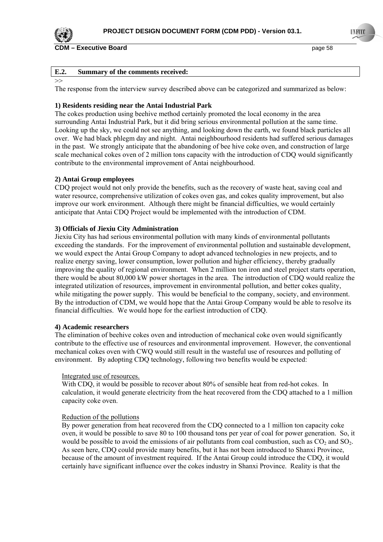![](_page_57_Picture_0.jpeg)

#### **E.2. Summary of the comments received:**

#### $\Rightarrow$

The response from the interview survey described above can be categorized and summarized as below:

#### **1) Residents residing near the Antai Industrial Park**

The cokes production using beehive method certainly promoted the local economy in the area surrounding Antai Industrial Park, but it did bring serious environmental pollution at the same time. Looking up the sky, we could not see anything, and looking down the earth, we found black particles all over. We had black phlegm day and night. Antai neighbourhood residents had suffered serious damages in the past. We strongly anticipate that the abandoning of bee hive coke oven, and construction of large scale mechanical cokes oven of 2 million tons capacity with the introduction of CDQ would significantly contribute to the environmental improvement of Antai neighbourhood.

#### **2) Antai Group employees**

CDQ project would not only provide the benefits, such as the recovery of waste heat, saving coal and water resource, comprehensive utilization of cokes oven gas, and cokes quality improvement, but also improve our work environment. Although there might be financial difficulties, we would certainly anticipate that Antai CDQ Project would be implemented with the introduction of CDM.

#### **3) Officials of Jiexiu City Administration**

Jiexiu City has had serious environmental pollution with many kinds of environmental pollutants exceeding the standards. For the improvement of environmental pollution and sustainable development, we would expect the Antai Group Company to adopt advanced technologies in new projects, and to realize energy saving, lower consumption, lower pollution and higher efficiency, thereby gradually improving the quality of regional environment. When 2 million ton iron and steel project starts operation, there would be about 80,000 kW power shortages in the area. The introduction of CDQ would realize the integrated utilization of resources, improvement in environmental pollution, and better cokes quality, while mitigating the power supply. This would be beneficial to the company, society, and environment. By the introduction of CDM, we would hope that the Antai Group Company would be able to resolve its financial difficulties. We would hope for the earliest introduction of CDQ.

#### **4) Academic researchers**

The elimination of beehive cokes oven and introduction of mechanical coke oven would significantly contribute to the effective use of resources and environmental improvement. However, the conventional mechanical cokes oven with CWQ would still result in the wasteful use of resources and polluting of environment. By adopting CDQ technology, following two benefits would be expected:

#### Integrated use of resources.

With CDQ, it would be possible to recover about 80% of sensible heat from red-hot cokes. In calculation, it would generate electricity from the heat recovered from the CDQ attached to a 1 million capacity coke oven.

#### Reduction of the pollutions

By power generation from heat recovered from the CDQ connected to a 1 million ton capacity coke oven, it would be possible to save 80 to 100 thousand tons per year of coal for power generation. So, it would be possible to avoid the emissions of air pollutants from coal combustion, such as  $CO<sub>2</sub>$  and  $SO<sub>2</sub>$ . As seen here, CDQ could provide many benefits, but it has not been introduced to Shanxi Province, because of the amount of investment required. If the Antai Group could introduce the CDQ, it would certainly have significant influence over the cokes industry in Shanxi Province. Reality is that the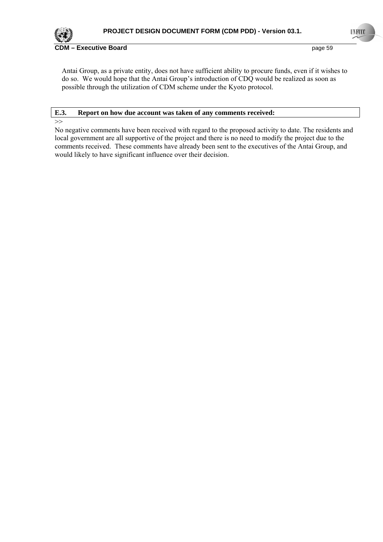![](_page_58_Picture_0.jpeg)

Antai Group, as a private entity, does not have sufficient ability to procure funds, even if it wishes to do so. We would hope that the Antai Group's introduction of CDQ would be realized as soon as possible through the utilization of CDM scheme under the Kyoto protocol.

## **E.3. Report on how due account was taken of any comments received:**

>>

No negative comments have been received with regard to the proposed activity to date. The residents and local government are all supportive of the project and there is no need to modify the project due to the comments received. These comments have already been sent to the executives of the Antai Group, and would likely to have significant influence over their decision.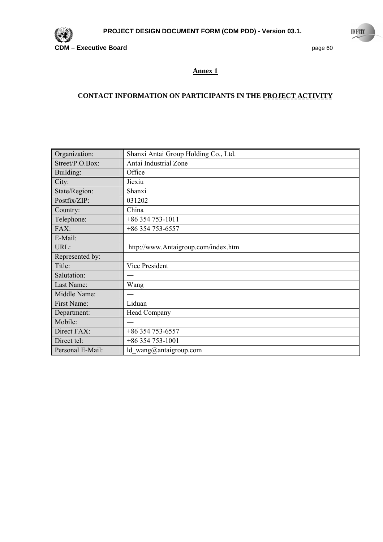![](_page_59_Picture_0.jpeg)

## **Annex 1**

# **CONTACT INFORMATION ON PARTICIPANTS IN THE PROJECT ACTIVITY**

| Organization:    | Shanxi Antai Group Holding Co., Ltd. |
|------------------|--------------------------------------|
| Street/P.O.Box:  | Antai Industrial Zone                |
| Building:        | Office                               |
| City:            | Jiexiu                               |
| State/Region:    | Shanxi                               |
| Postfix/ZIP:     | 031202                               |
| Country:         | China                                |
| Telephone:       | $+86354753-1011$                     |
| FAX:             | +86 354 753-6557                     |
| E-Mail:          |                                      |
| URL:             | http://www.Antaigroup.com/index.htm  |
| Represented by:  |                                      |
| Title:           | Vice President                       |
| Salutation:      |                                      |
| Last Name:       | Wang                                 |
| Middle Name:     |                                      |
| First Name:      | Liduan                               |
| Department:      | Head Company                         |
| Mobile:          |                                      |
| Direct FAX:      | +86 354 753-6557                     |
| Direct tel:      | $+86354753-1001$                     |
| Personal E-Mail: | ld wang@antaigroup.com               |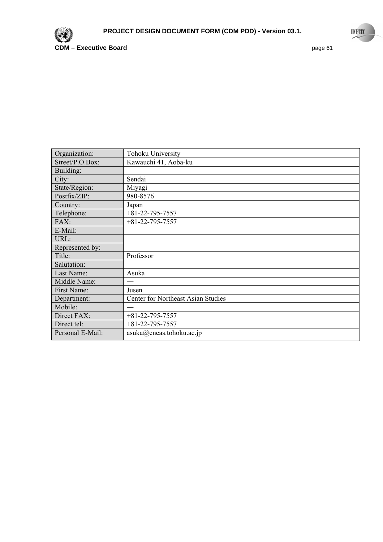![](_page_60_Picture_0.jpeg)

| Organization:    | Tohoku University                         |
|------------------|-------------------------------------------|
| Street/P.O.Box:  | Kawauchi 41, Aoba-ku                      |
| Building:        |                                           |
| City:            | Sendai                                    |
| State/Region:    | Miyagi                                    |
| Postfix/ZIP:     | 980-8576                                  |
| Country:         | Japan                                     |
| Telephone:       | $+81 - 22 - 795 - 7557$                   |
| FAX:             | $+81 - 22 - 795 - 7557$                   |
| E-Mail:          |                                           |
| URL:             |                                           |
| Represented by:  |                                           |
| Title:           | Professor                                 |
| Salutation:      |                                           |
| Last Name:       | Asuka                                     |
| Middle Name:     |                                           |
| First Name:      | Jusen                                     |
| Department:      | <b>Center for Northeast Asian Studies</b> |
| Mobile:          |                                           |
| Direct FAX:      | $+81 - 22 - 795 - 7557$                   |
| Direct tel:      | $+81 - 22 - 795 - 7557$                   |
| Personal E-Mail: | asuka@cneas. to hoku.ac.jp                |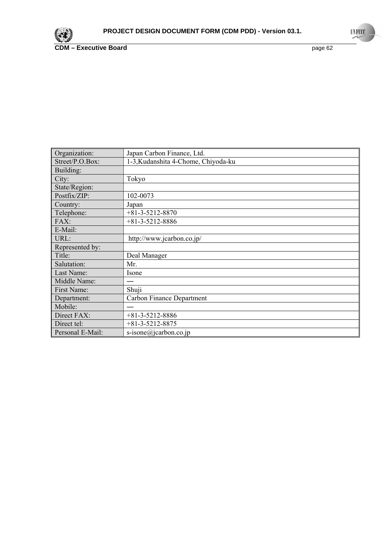![](_page_61_Picture_0.jpeg)

| Organization:    | Japan Carbon Finance, Ltd.          |
|------------------|-------------------------------------|
| Street/P.O.Box:  | 1-3, Kudanshita 4-Chome, Chiyoda-ku |
| Building:        |                                     |
| City:            | Tokyo                               |
| State/Region:    |                                     |
| Postfix/ZIP:     | 102-0073                            |
| Country:         | Japan                               |
| Telephone:       | $+81-3-5212-8870$                   |
| FAX:             | $+81-3-5212-8886$                   |
| E-Mail:          |                                     |
| URL:             | http://www.jcarbon.co.jp/           |
| Represented by:  |                                     |
| Title:           | Deal Manager                        |
| Salutation:      | Mr.                                 |
| Last Name:       | Isone                               |
| Middle Name:     |                                     |
| First Name:      | Shuji                               |
| Department:      | <b>Carbon Finance Department</b>    |
| Mobile:          |                                     |
| Direct FAX:      | $+81-3-5212-8886$                   |
| Direct tel:      | $+81-3-5212-8875$                   |
| Personal E-Mail: | s-isone@jcarbon.co.jp               |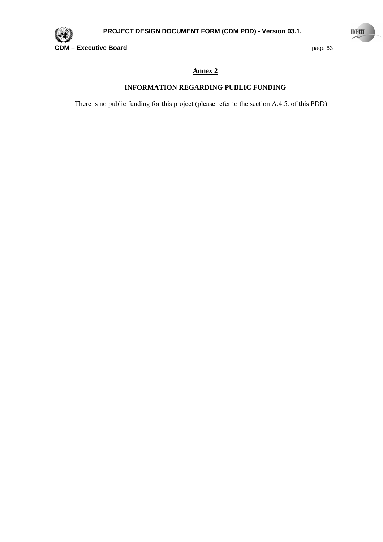![](_page_62_Picture_0.jpeg)

## **Annex 2**

## **INFORMATION REGARDING PUBLIC FUNDING**

There is no public funding for this project (please refer to the section A.4.5. of this PDD)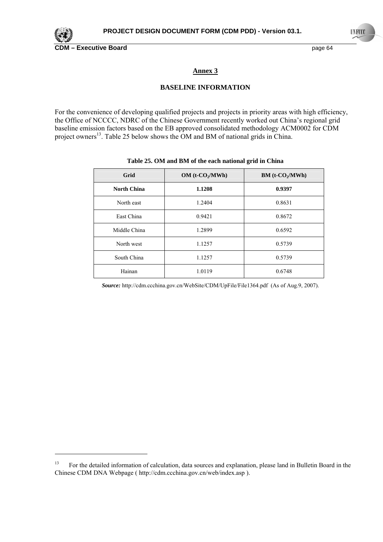![](_page_63_Picture_0.jpeg)

**CDM – Executive Board** page 64

### **Annex 3**

#### **BASELINE INFORMATION**

For the convenience of developing qualified projects and projects in priority areas with high efficiency, the Office of NCCCC, NDRC of the Chinese Government recently worked out China's regional grid baseline emission factors based on the EB approved consolidated methodology ACM0002 for CDM project owners<sup>13</sup>. Table 25 below shows the OM and BM of national grids in China.

| Grid         | $OM(t-CO2/MWh)$ | $BM(t$ - $CO2/MWh)$ |  |
|--------------|-----------------|---------------------|--|
| North China  | 1.1208          | 0.9397              |  |
| North east   | 1.2404          | 0.8631              |  |
| East China   | 0.9421          | 0.8672              |  |
| Middle China | 1.2899          | 0.6592              |  |
| North west   | 1.1257          | 0.5739              |  |
| South China  | 1.1257          | 0.5739              |  |
| Hainan       | 1.0119          | 0.6748              |  |

#### **Table 25. OM and BM of the each national grid in China**

*Source:* http://cdm.ccchina.gov.cn/WebSite/CDM/UpFile/File1364.pdf (As of Aug.9, 2007).

<sup>&</sup>lt;sup>13</sup> For the detailed information of calculation, data sources and explanation, please land in Bulletin Board in the Chinese CDM DNA Webpage ( http://cdm.ccchina.gov.cn/web/index.asp ).